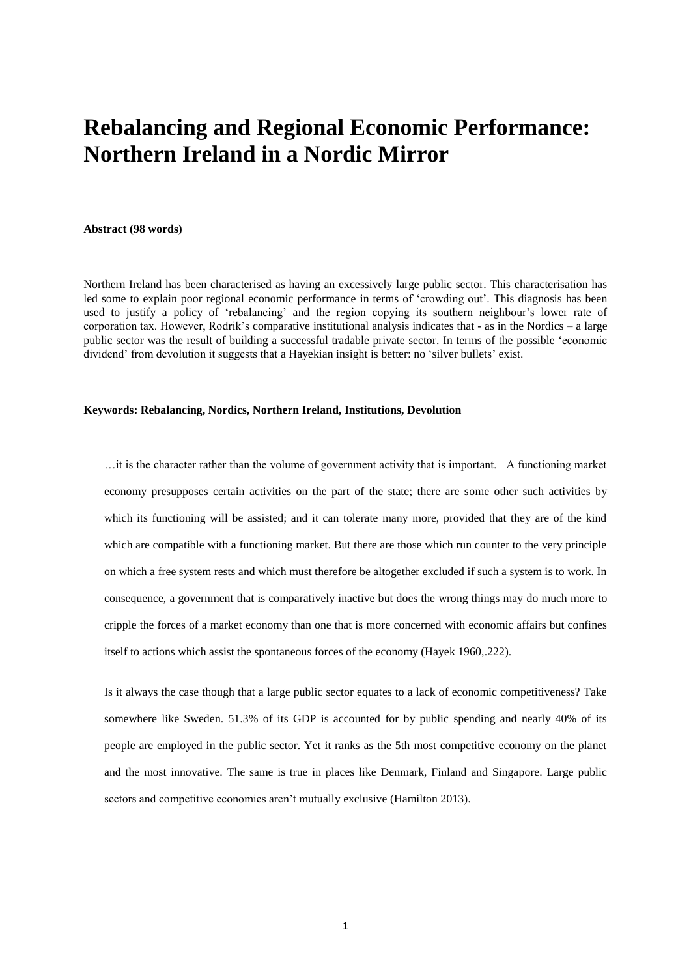# **Rebalancing and Regional Economic Performance: Northern Ireland in a Nordic Mirror**

**Abstract (98 words)**

Northern Ireland has been characterised as having an excessively large public sector. This characterisation has led some to explain poor regional economic performance in terms of 'crowding out'. This diagnosis has been used to justify a policy of 'rebalancing' and the region copying its southern neighbour's lower rate of corporation tax. However, Rodrik's comparative institutional analysis indicates that - as in the Nordics – a large public sector was the result of building a successful tradable private sector. In terms of the possible 'economic dividend' from devolution it suggests that a Hayekian insight is better: no 'silver bullets' exist.

#### **Keywords: Rebalancing, Nordics, Northern Ireland, Institutions, Devolution**

…it is the character rather than the volume of government activity that is important. A functioning market economy presupposes certain activities on the part of the state; there are some other such activities by which its functioning will be assisted; and it can tolerate many more, provided that they are of the kind which are compatible with a functioning market. But there are those which run counter to the very principle on which a free system rests and which must therefore be altogether excluded if such a system is to work. In consequence, a government that is comparatively inactive but does the wrong things may do much more to cripple the forces of a market economy than one that is more concerned with economic affairs but confines itself to actions which assist the spontaneous forces of the economy (Hayek 1960,.222).

Is it always the case though that a large public sector equates to a lack of economic competitiveness? Take somewhere like Sweden. 51.3% of its GDP is accounted for by public spending and nearly 40% of its people are employed in the public sector. Yet it ranks as the 5th most competitive economy on the planet and the most innovative. The same is true in places like Denmark, Finland and Singapore. Large public sectors and competitive economies aren't mutually exclusive (Hamilton 2013).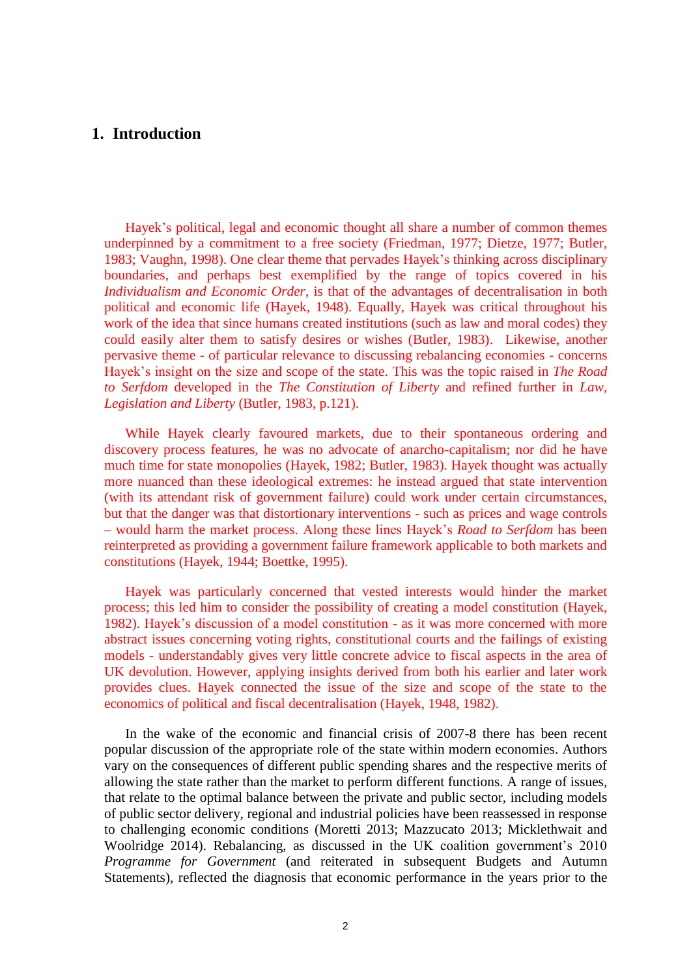### **1. Introduction**

Hayek's political, legal and economic thought all share a number of common themes underpinned by a commitment to a free society (Friedman, 1977; Dietze, 1977; Butler, 1983; Vaughn, 1998). One clear theme that pervades Hayek's thinking across disciplinary boundaries, and perhaps best exemplified by the range of topics covered in his *Individualism and Economic Order*, is that of the advantages of decentralisation in both political and economic life (Hayek, 1948). Equally, Hayek was critical throughout his work of the idea that since humans created institutions (such as law and moral codes) they could easily alter them to satisfy desires or wishes (Butler, 1983). Likewise, another pervasive theme - of particular relevance to discussing rebalancing economies - concerns Hayek's insight on the size and scope of the state. This was the topic raised in *The Road to Serfdom* developed in the *The Constitution of Liberty* and refined further in *Law, Legislation and Liberty* (Butler, 1983, p.121).

While Hayek clearly favoured markets, due to their spontaneous ordering and discovery process features, he was no advocate of anarcho-capitalism; nor did he have much time for state monopolies (Hayek, 1982; Butler, 1983). Hayek thought was actually more nuanced than these ideological extremes: he instead argued that state intervention (with its attendant risk of government failure) could work under certain circumstances, but that the danger was that distortionary interventions - such as prices and wage controls – would harm the market process. Along these lines Hayek's *Road to Serfdom* has been reinterpreted as providing a government failure framework applicable to both markets and constitutions (Hayek, 1944; Boettke, 1995).

Hayek was particularly concerned that vested interests would hinder the market process; this led him to consider the possibility of creating a model constitution (Hayek, 1982). Hayek's discussion of a model constitution - as it was more concerned with more abstract issues concerning voting rights, constitutional courts and the failings of existing models - understandably gives very little concrete advice to fiscal aspects in the area of UK devolution. However, applying insights derived from both his earlier and later work provides clues. Hayek connected the issue of the size and scope of the state to the economics of political and fiscal decentralisation (Hayek, 1948, 1982).

In the wake of the economic and financial crisis of 2007-8 there has been recent popular discussion of the appropriate role of the state within modern economies. Authors vary on the consequences of different public spending shares and the respective merits of allowing the state rather than the market to perform different functions. A range of issues, that relate to the optimal balance between the private and public sector, including models of public sector delivery, regional and industrial policies have been reassessed in response to challenging economic conditions (Moretti 2013; Mazzucato 2013; Micklethwait and Woolridge 2014). Rebalancing, as discussed in the UK coalition government's 2010 *Programme for Government* (and reiterated in subsequent Budgets and Autumn Statements), reflected the diagnosis that economic performance in the years prior to the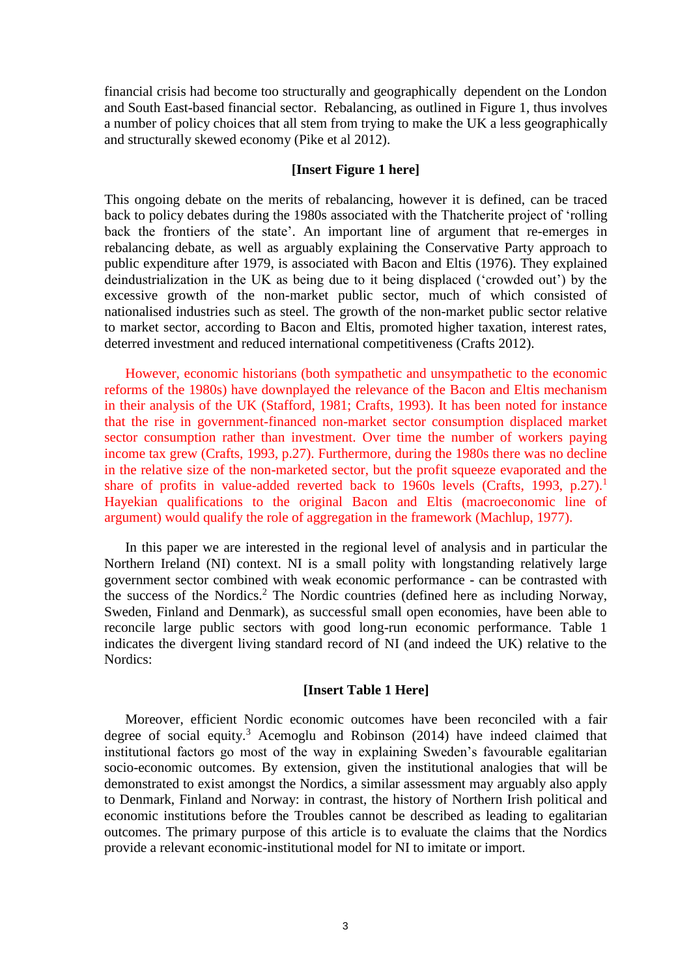financial crisis had become too structurally and geographically dependent on the London and South East-based financial sector. Rebalancing, as outlined in Figure 1, thus involves a number of policy choices that all stem from trying to make the UK a less geographically and structurally skewed economy (Pike et al 2012).

#### **[Insert Figure 1 here]**

This ongoing debate on the merits of rebalancing, however it is defined, can be traced back to policy debates during the 1980s associated with the Thatcherite project of 'rolling back the frontiers of the state'. An important line of argument that re-emerges in rebalancing debate, as well as arguably explaining the Conservative Party approach to public expenditure after 1979, is associated with Bacon and Eltis (1976). They explained deindustrialization in the UK as being due to it being displaced ('crowded out') by the excessive growth of the non-market public sector, much of which consisted of nationalised industries such as steel. The growth of the non-market public sector relative to market sector, according to Bacon and Eltis, promoted higher taxation, interest rates, deterred investment and reduced international competitiveness (Crafts 2012).

However, economic historians (both sympathetic and unsympathetic to the economic reforms of the 1980s) have downplayed the relevance of the Bacon and Eltis mechanism in their analysis of the UK (Stafford, 1981; Crafts, 1993). It has been noted for instance that the rise in government-financed non-market sector consumption displaced market sector consumption rather than investment. Over time the number of workers paying income tax grew (Crafts, 1993, p.27). Furthermore, during the 1980s there was no decline in the relative size of the non-marketed sector, but the profit squeeze evaporated and the share of profits in value-added reverted back to 1960s levels (Crafts, 1993, p.27).<sup>1</sup> Hayekian qualifications to the original Bacon and Eltis (macroeconomic line of argument) would qualify the role of aggregation in the framework (Machlup, 1977).

In this paper we are interested in the regional level of analysis and in particular the Northern Ireland (NI) context. NI is a small polity with longstanding relatively large government sector combined with weak economic performance - can be contrasted with the success of the Nordics.<sup>2</sup> The Nordic countries (defined here as including Norway, Sweden, Finland and Denmark), as successful small open economies, have been able to reconcile large public sectors with good long-run economic performance. Table 1 indicates the divergent living standard record of NI (and indeed the UK) relative to the Nordics:

#### **[Insert Table 1 Here]**

Moreover, efficient Nordic economic outcomes have been reconciled with a fair degree of social equity.<sup>3</sup> Acemoglu and Robinson (2014) have indeed claimed that institutional factors go most of the way in explaining Sweden's favourable egalitarian socio-economic outcomes. By extension, given the institutional analogies that will be demonstrated to exist amongst the Nordics, a similar assessment may arguably also apply to Denmark, Finland and Norway: in contrast, the history of Northern Irish political and economic institutions before the Troubles cannot be described as leading to egalitarian outcomes. The primary purpose of this article is to evaluate the claims that the Nordics provide a relevant economic-institutional model for NI to imitate or import.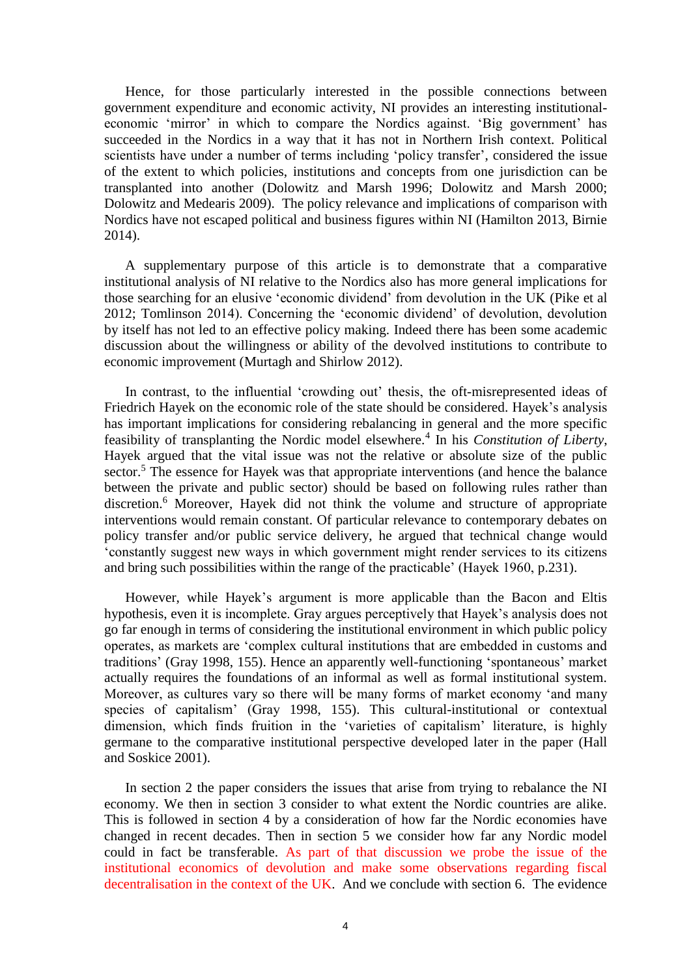Hence, for those particularly interested in the possible connections between government expenditure and economic activity, NI provides an interesting institutionaleconomic 'mirror' in which to compare the Nordics against. 'Big government' has succeeded in the Nordics in a way that it has not in Northern Irish context. Political scientists have under a number of terms including 'policy transfer', considered the issue of the extent to which policies, institutions and concepts from one jurisdiction can be transplanted into another (Dolowitz and Marsh 1996; Dolowitz and Marsh 2000; Dolowitz and Medearis 2009). The policy relevance and implications of comparison with Nordics have not escaped political and business figures within NI (Hamilton 2013, Birnie 2014).

A supplementary purpose of this article is to demonstrate that a comparative institutional analysis of NI relative to the Nordics also has more general implications for those searching for an elusive 'economic dividend' from devolution in the UK (Pike et al 2012; Tomlinson 2014). Concerning the 'economic dividend' of devolution, devolution by itself has not led to an effective policy making. Indeed there has been some academic discussion about the willingness or ability of the devolved institutions to contribute to economic improvement (Murtagh and Shirlow 2012).

In contrast, to the influential 'crowding out' thesis, the oft-misrepresented ideas of Friedrich Hayek on the economic role of the state should be considered. Hayek's analysis has important implications for considering rebalancing in general and the more specific feasibility of transplanting the Nordic model elsewhere.<sup>4</sup> In his *Constitution of Liberty*, Hayek argued that the vital issue was not the relative or absolute size of the public sector.<sup>5</sup> The essence for Hayek was that appropriate interventions (and hence the balance between the private and public sector) should be based on following rules rather than discretion.<sup>6</sup> Moreover, Hayek did not think the volume and structure of appropriate interventions would remain constant. Of particular relevance to contemporary debates on policy transfer and/or public service delivery, he argued that technical change would 'constantly suggest new ways in which government might render services to its citizens and bring such possibilities within the range of the practicable' (Hayek 1960, p.231).

However, while Hayek's argument is more applicable than the Bacon and Eltis hypothesis, even it is incomplete. Gray argues perceptively that Hayek's analysis does not go far enough in terms of considering the institutional environment in which public policy operates, as markets are 'complex cultural institutions that are embedded in customs and traditions' (Gray 1998, 155). Hence an apparently well-functioning 'spontaneous' market actually requires the foundations of an informal as well as formal institutional system. Moreover, as cultures vary so there will be many forms of market economy 'and many species of capitalism' (Gray 1998, 155). This cultural-institutional or contextual dimension, which finds fruition in the 'varieties of capitalism' literature, is highly germane to the comparative institutional perspective developed later in the paper (Hall and Soskice 2001).

In section 2 the paper considers the issues that arise from trying to rebalance the NI economy. We then in section 3 consider to what extent the Nordic countries are alike. This is followed in section 4 by a consideration of how far the Nordic economies have changed in recent decades. Then in section 5 we consider how far any Nordic model could in fact be transferable. As part of that discussion we probe the issue of the institutional economics of devolution and make some observations regarding fiscal decentralisation in the context of the UK. And we conclude with section 6. The evidence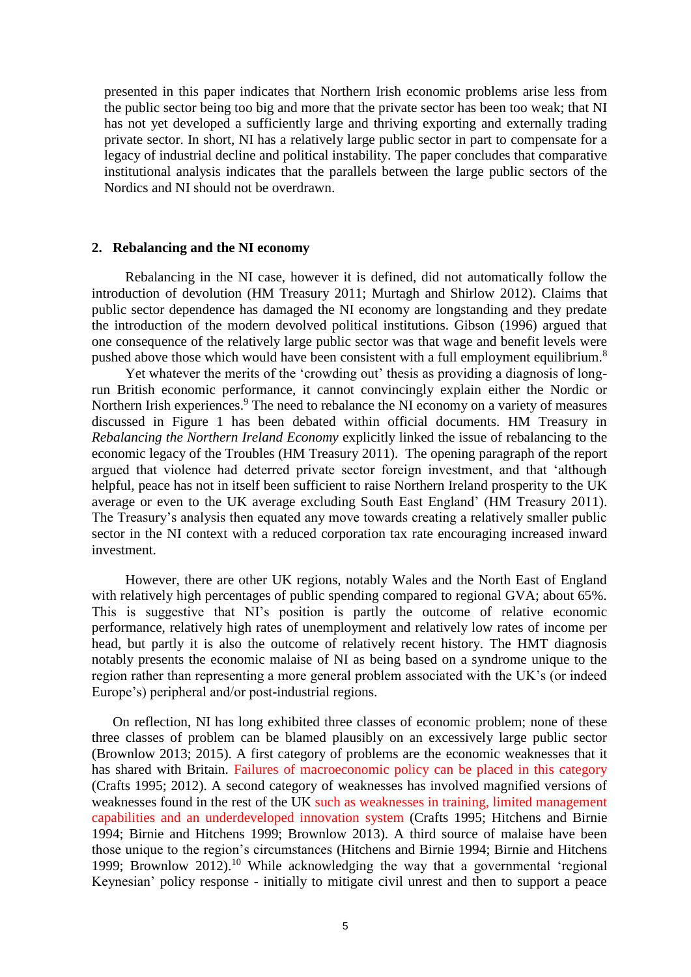presented in this paper indicates that Northern Irish economic problems arise less from the public sector being too big and more that the private sector has been too weak; that NI has not yet developed a sufficiently large and thriving exporting and externally trading private sector. In short, NI has a relatively large public sector in part to compensate for a legacy of industrial decline and political instability. The paper concludes that comparative institutional analysis indicates that the parallels between the large public sectors of the Nordics and NI should not be overdrawn.

#### **2. Rebalancing and the NI economy**

Rebalancing in the NI case, however it is defined, did not automatically follow the introduction of devolution (HM Treasury 2011; Murtagh and Shirlow 2012). Claims that public sector dependence has damaged the NI economy are longstanding and they predate the introduction of the modern devolved political institutions. Gibson (1996) argued that one consequence of the relatively large public sector was that wage and benefit levels were pushed above those which would have been consistent with a full employment equilibrium.<sup>8</sup>

Yet whatever the merits of the 'crowding out' thesis as providing a diagnosis of longrun British economic performance, it cannot convincingly explain either the Nordic or Northern Irish experiences.<sup>9</sup> The need to rebalance the NI economy on a variety of measures discussed in Figure 1 has been debated within official documents. HM Treasury in *Rebalancing the Northern Ireland Economy* explicitly linked the issue of rebalancing to the economic legacy of the Troubles (HM Treasury 2011). The opening paragraph of the report argued that violence had deterred private sector foreign investment, and that 'although helpful, peace has not in itself been sufficient to raise Northern Ireland prosperity to the UK average or even to the UK average excluding South East England' (HM Treasury 2011). The Treasury's analysis then equated any move towards creating a relatively smaller public sector in the NI context with a reduced corporation tax rate encouraging increased inward investment.

However, there are other UK regions, notably Wales and the North East of England with relatively high percentages of public spending compared to regional GVA; about 65%. This is suggestive that NI's position is partly the outcome of relative economic performance, relatively high rates of unemployment and relatively low rates of income per head, but partly it is also the outcome of relatively recent history. The HMT diagnosis notably presents the economic malaise of NI as being based on a syndrome unique to the region rather than representing a more general problem associated with the UK's (or indeed Europe's) peripheral and/or post-industrial regions.

On reflection, NI has long exhibited three classes of economic problem; none of these three classes of problem can be blamed plausibly on an excessively large public sector (Brownlow 2013; 2015). A first category of problems are the economic weaknesses that it has shared with Britain. Failures of macroeconomic policy can be placed in this category (Crafts 1995; 2012). A second category of weaknesses has involved magnified versions of weaknesses found in the rest of the UK such as weaknesses in training, limited management capabilities and an underdeveloped innovation system (Crafts 1995; Hitchens and Birnie 1994; Birnie and Hitchens 1999; Brownlow 2013). A third source of malaise have been those unique to the region's circumstances (Hitchens and Birnie 1994; Birnie and Hitchens 1999; Brownlow 2012).<sup>10</sup> While acknowledging the way that a governmental 'regional Keynesian' policy response - initially to mitigate civil unrest and then to support a peace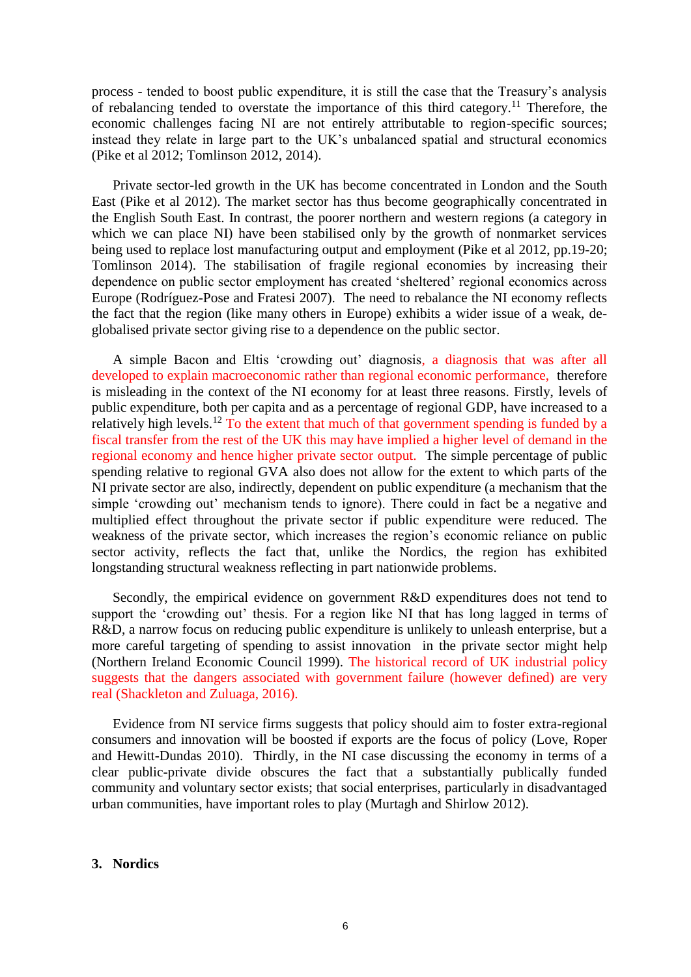process - tended to boost public expenditure, it is still the case that the Treasury's analysis of rebalancing tended to overstate the importance of this third category.<sup>11</sup> Therefore, the economic challenges facing NI are not entirely attributable to region-specific sources; instead they relate in large part to the UK's unbalanced spatial and structural economics (Pike et al 2012; Tomlinson 2012, 2014).

Private sector-led growth in the UK has become concentrated in London and the South East (Pike et al 2012). The market sector has thus become geographically concentrated in the English South East. In contrast, the poorer northern and western regions (a category in which we can place NI) have been stabilised only by the growth of nonmarket services being used to replace lost manufacturing output and employment (Pike et al 2012, pp.19-20; Tomlinson 2014). The stabilisation of fragile regional economies by increasing their dependence on public sector employment has created 'sheltered' regional economics across Europe (Rodríguez-Pose and Fratesi 2007). The need to rebalance the NI economy reflects the fact that the region (like many others in Europe) exhibits a wider issue of a weak, deglobalised private sector giving rise to a dependence on the public sector.

A simple Bacon and Eltis 'crowding out' diagnosis, a diagnosis that was after all developed to explain macroeconomic rather than regional economic performance, therefore is misleading in the context of the NI economy for at least three reasons. Firstly, levels of public expenditure, both per capita and as a percentage of regional GDP, have increased to a relatively high levels.<sup>12</sup> To the extent that much of that government spending is funded by a fiscal transfer from the rest of the UK this may have implied a higher level of demand in the regional economy and hence higher private sector output. The simple percentage of public spending relative to regional GVA also does not allow for the extent to which parts of the NI private sector are also, indirectly, dependent on public expenditure (a mechanism that the simple 'crowding out' mechanism tends to ignore). There could in fact be a negative and multiplied effect throughout the private sector if public expenditure were reduced. The weakness of the private sector, which increases the region's economic reliance on public sector activity, reflects the fact that, unlike the Nordics, the region has exhibited longstanding structural weakness reflecting in part nationwide problems.

Secondly, the empirical evidence on government R&D expenditures does not tend to support the 'crowding out' thesis. For a region like NI that has long lagged in terms of R&D, a narrow focus on reducing public expenditure is unlikely to unleash enterprise, but a more careful targeting of spending to assist innovation in the private sector might help (Northern Ireland Economic Council 1999). The historical record of UK industrial policy suggests that the dangers associated with government failure (however defined) are very real (Shackleton and Zuluaga, 2016).

Evidence from NI service firms suggests that policy should aim to foster extra-regional consumers and innovation will be boosted if exports are the focus of policy (Love, Roper and Hewitt-Dundas 2010). Thirdly, in the NI case discussing the economy in terms of a clear public-private divide obscures the fact that a substantially publically funded community and voluntary sector exists; that social enterprises, particularly in disadvantaged urban communities, have important roles to play (Murtagh and Shirlow 2012).

#### **3. Nordics**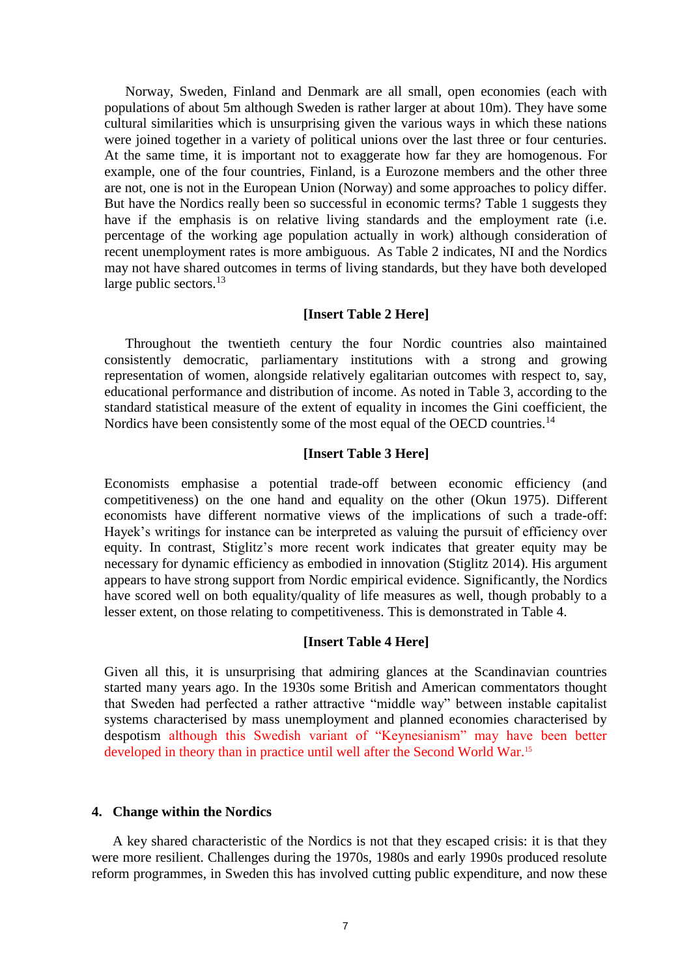Norway, Sweden, Finland and Denmark are all small, open economies (each with populations of about 5m although Sweden is rather larger at about 10m). They have some cultural similarities which is unsurprising given the various ways in which these nations were joined together in a variety of political unions over the last three or four centuries. At the same time, it is important not to exaggerate how far they are homogenous. For example, one of the four countries, Finland, is a Eurozone members and the other three are not, one is not in the European Union (Norway) and some approaches to policy differ. But have the Nordics really been so successful in economic terms? Table 1 suggests they have if the emphasis is on relative living standards and the employment rate (i.e. percentage of the working age population actually in work) although consideration of recent unemployment rates is more ambiguous. As Table 2 indicates, NI and the Nordics may not have shared outcomes in terms of living standards, but they have both developed large public sectors. $^{13}$ 

#### **[Insert Table 2 Here]**

Throughout the twentieth century the four Nordic countries also maintained consistently democratic, parliamentary institutions with a strong and growing representation of women, alongside relatively egalitarian outcomes with respect to, say, educational performance and distribution of income. As noted in Table 3, according to the standard statistical measure of the extent of equality in incomes the Gini coefficient, the Nordics have been consistently some of the most equal of the OECD countries.<sup>14</sup>

#### **[Insert Table 3 Here]**

Economists emphasise a potential trade-off between economic efficiency (and competitiveness) on the one hand and equality on the other (Okun 1975). Different economists have different normative views of the implications of such a trade-off: Hayek's writings for instance can be interpreted as valuing the pursuit of efficiency over equity. In contrast, Stiglitz's more recent work indicates that greater equity may be necessary for dynamic efficiency as embodied in innovation (Stiglitz 2014). His argument appears to have strong support from Nordic empirical evidence. Significantly, the Nordics have scored well on both equality/quality of life measures as well, though probably to a lesser extent, on those relating to competitiveness. This is demonstrated in Table 4.

#### **[Insert Table 4 Here]**

Given all this, it is unsurprising that admiring glances at the Scandinavian countries started many years ago. In the 1930s some British and American commentators thought that Sweden had perfected a rather attractive "middle way" between instable capitalist systems characterised by mass unemployment and planned economies characterised by despotism although this Swedish variant of "Keynesianism" may have been better developed in theory than in practice until well after the Second World War. 15

#### **4. Change within the Nordics**

A key shared characteristic of the Nordics is not that they escaped crisis: it is that they were more resilient. Challenges during the 1970s, 1980s and early 1990s produced resolute reform programmes, in Sweden this has involved cutting public expenditure, and now these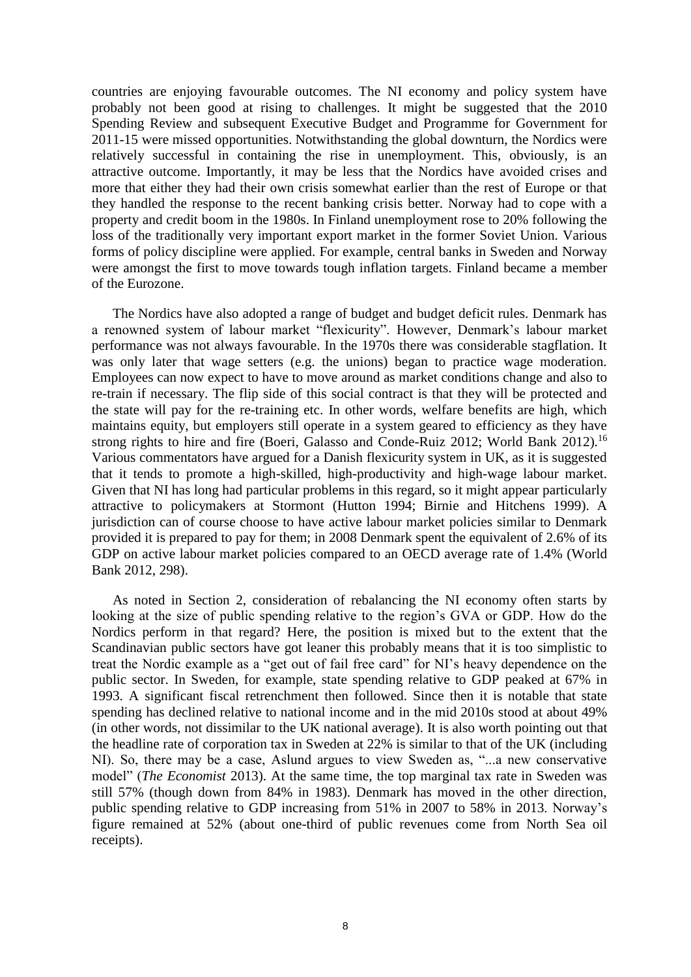countries are enjoying favourable outcomes. The NI economy and policy system have probably not been good at rising to challenges. It might be suggested that the 2010 Spending Review and subsequent Executive Budget and Programme for Government for 2011-15 were missed opportunities. Notwithstanding the global downturn, the Nordics were relatively successful in containing the rise in unemployment. This, obviously, is an attractive outcome. Importantly, it may be less that the Nordics have avoided crises and more that either they had their own crisis somewhat earlier than the rest of Europe or that they handled the response to the recent banking crisis better. Norway had to cope with a property and credit boom in the 1980s. In Finland unemployment rose to 20% following the loss of the traditionally very important export market in the former Soviet Union. Various forms of policy discipline were applied. For example, central banks in Sweden and Norway were amongst the first to move towards tough inflation targets. Finland became a member of the Eurozone.

The Nordics have also adopted a range of budget and budget deficit rules. Denmark has a renowned system of labour market "flexicurity". However, Denmark's labour market performance was not always favourable. In the 1970s there was considerable stagflation. It was only later that wage setters (e.g. the unions) began to practice wage moderation. Employees can now expect to have to move around as market conditions change and also to re-train if necessary. The flip side of this social contract is that they will be protected and the state will pay for the re-training etc. In other words, welfare benefits are high, which maintains equity, but employers still operate in a system geared to efficiency as they have strong rights to hire and fire (Boeri, Galasso and Conde-Ruiz 2012; World Bank 2012).<sup>16</sup> Various commentators have argued for a Danish flexicurity system in UK, as it is suggested that it tends to promote a high-skilled, high-productivity and high-wage labour market. Given that NI has long had particular problems in this regard, so it might appear particularly attractive to policymakers at Stormont (Hutton 1994; Birnie and Hitchens 1999). A jurisdiction can of course choose to have active labour market policies similar to Denmark provided it is prepared to pay for them; in 2008 Denmark spent the equivalent of 2.6% of its GDP on active labour market policies compared to an OECD average rate of 1.4% (World Bank 2012, 298).

As noted in Section 2, consideration of rebalancing the NI economy often starts by looking at the size of public spending relative to the region's GVA or GDP. How do the Nordics perform in that regard? Here, the position is mixed but to the extent that the Scandinavian public sectors have got leaner this probably means that it is too simplistic to treat the Nordic example as a "get out of fail free card" for NI's heavy dependence on the public sector. In Sweden, for example, state spending relative to GDP peaked at 67% in 1993. A significant fiscal retrenchment then followed. Since then it is notable that state spending has declined relative to national income and in the mid 2010s stood at about 49% (in other words, not dissimilar to the UK national average). It is also worth pointing out that the headline rate of corporation tax in Sweden at 22% is similar to that of the UK (including NI). So, there may be a case, Aslund argues to view Sweden as, "...a new conservative model" (*The Economist* 2013). At the same time, the top marginal tax rate in Sweden was still 57% (though down from 84% in 1983). Denmark has moved in the other direction, public spending relative to GDP increasing from 51% in 2007 to 58% in 2013. Norway's figure remained at 52% (about one-third of public revenues come from North Sea oil receipts).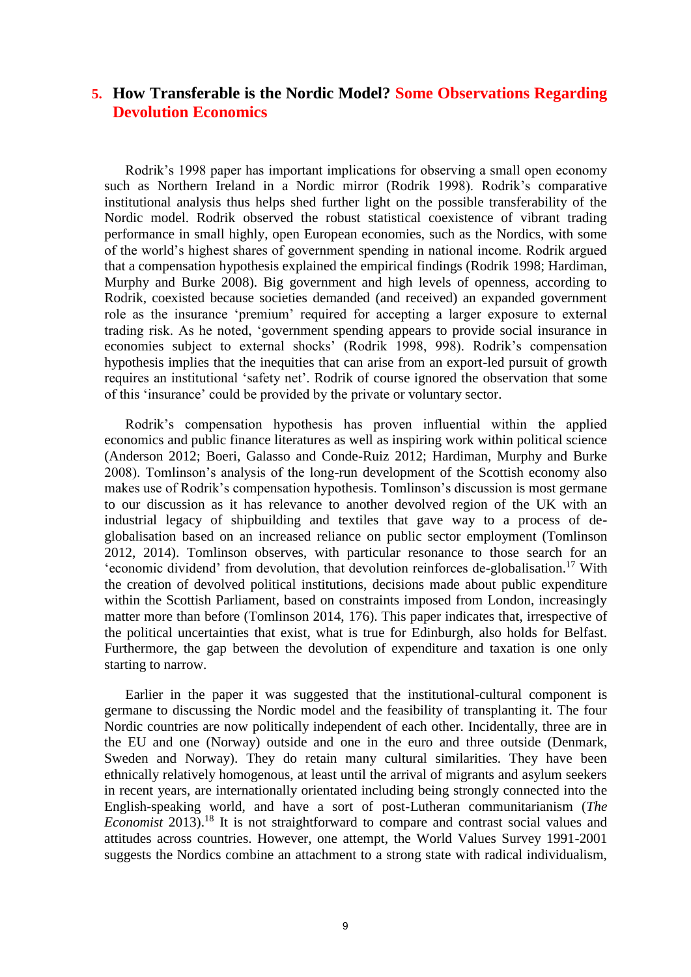## **5. How Transferable is the Nordic Model? Some Observations Regarding Devolution Economics**

Rodrik's 1998 paper has important implications for observing a small open economy such as Northern Ireland in a Nordic mirror (Rodrik 1998). Rodrik's comparative institutional analysis thus helps shed further light on the possible transferability of the Nordic model. Rodrik observed the robust statistical coexistence of vibrant trading performance in small highly, open European economies, such as the Nordics, with some of the world's highest shares of government spending in national income. Rodrik argued that a compensation hypothesis explained the empirical findings (Rodrik 1998; Hardiman, Murphy and Burke 2008). Big government and high levels of openness, according to Rodrik, coexisted because societies demanded (and received) an expanded government role as the insurance 'premium' required for accepting a larger exposure to external trading risk. As he noted, 'government spending appears to provide social insurance in economies subject to external shocks' (Rodrik 1998, 998). Rodrik's compensation hypothesis implies that the inequities that can arise from an export-led pursuit of growth requires an institutional 'safety net'. Rodrik of course ignored the observation that some of this 'insurance' could be provided by the private or voluntary sector.

Rodrik's compensation hypothesis has proven influential within the applied economics and public finance literatures as well as inspiring work within political science (Anderson 2012; Boeri, Galasso and Conde-Ruiz 2012; Hardiman, Murphy and Burke 2008). Tomlinson's analysis of the long-run development of the Scottish economy also makes use of Rodrik's compensation hypothesis. Tomlinson's discussion is most germane to our discussion as it has relevance to another devolved region of the UK with an industrial legacy of shipbuilding and textiles that gave way to a process of deglobalisation based on an increased reliance on public sector employment (Tomlinson 2012, 2014). Tomlinson observes, with particular resonance to those search for an 'economic dividend' from devolution, that devolution reinforces de-globalisation.<sup>17</sup> With the creation of devolved political institutions, decisions made about public expenditure within the Scottish Parliament, based on constraints imposed from London, increasingly matter more than before (Tomlinson 2014, 176). This paper indicates that, irrespective of the political uncertainties that exist, what is true for Edinburgh, also holds for Belfast. Furthermore, the gap between the devolution of expenditure and taxation is one only starting to narrow.

Earlier in the paper it was suggested that the institutional-cultural component is germane to discussing the Nordic model and the feasibility of transplanting it. The four Nordic countries are now politically independent of each other. Incidentally, three are in the EU and one (Norway) outside and one in the euro and three outside (Denmark, Sweden and Norway). They do retain many cultural similarities. They have been ethnically relatively homogenous, at least until the arrival of migrants and asylum seekers in recent years, are internationally orientated including being strongly connected into the English-speaking world, and have a sort of post-Lutheran communitarianism (*The Economist* 2013).<sup>18</sup> It is not straightforward to compare and contrast social values and attitudes across countries. However, one attempt, the World Values Survey 1991-2001 suggests the Nordics combine an attachment to a strong state with radical individualism,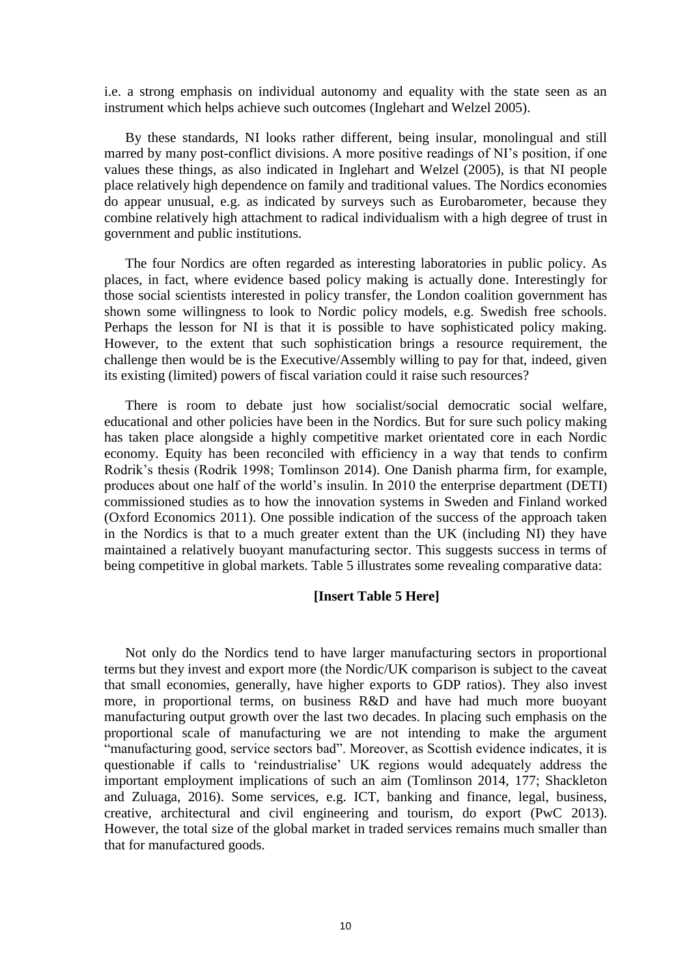i.e. a strong emphasis on individual autonomy and equality with the state seen as an instrument which helps achieve such outcomes (Inglehart and Welzel 2005).

By these standards, NI looks rather different, being insular, monolingual and still marred by many post-conflict divisions. A more positive readings of NI's position, if one values these things, as also indicated in Inglehart and Welzel (2005), is that NI people place relatively high dependence on family and traditional values. The Nordics economies do appear unusual, e.g. as indicated by surveys such as Eurobarometer, because they combine relatively high attachment to radical individualism with a high degree of trust in government and public institutions.

The four Nordics are often regarded as interesting laboratories in public policy. As places, in fact, where evidence based policy making is actually done. Interestingly for those social scientists interested in policy transfer, the London coalition government has shown some willingness to look to Nordic policy models, e.g. Swedish free schools. Perhaps the lesson for NI is that it is possible to have sophisticated policy making. However, to the extent that such sophistication brings a resource requirement, the challenge then would be is the Executive/Assembly willing to pay for that, indeed, given its existing (limited) powers of fiscal variation could it raise such resources?

There is room to debate just how socialist/social democratic social welfare, educational and other policies have been in the Nordics. But for sure such policy making has taken place alongside a highly competitive market orientated core in each Nordic economy. Equity has been reconciled with efficiency in a way that tends to confirm Rodrik's thesis (Rodrik 1998; Tomlinson 2014). One Danish pharma firm, for example, produces about one half of the world's insulin. In 2010 the enterprise department (DETI) commissioned studies as to how the innovation systems in Sweden and Finland worked (Oxford Economics 2011). One possible indication of the success of the approach taken in the Nordics is that to a much greater extent than the UK (including NI) they have maintained a relatively buoyant manufacturing sector. This suggests success in terms of being competitive in global markets. Table 5 illustrates some revealing comparative data:

#### **[Insert Table 5 Here]**

Not only do the Nordics tend to have larger manufacturing sectors in proportional terms but they invest and export more (the Nordic/UK comparison is subject to the caveat that small economies, generally, have higher exports to GDP ratios). They also invest more, in proportional terms, on business R&D and have had much more buoyant manufacturing output growth over the last two decades. In placing such emphasis on the proportional scale of manufacturing we are not intending to make the argument "manufacturing good, service sectors bad". Moreover, as Scottish evidence indicates, it is questionable if calls to 'reindustrialise' UK regions would adequately address the important employment implications of such an aim (Tomlinson 2014, 177; Shackleton and Zuluaga, 2016). Some services, e.g. ICT, banking and finance, legal, business, creative, architectural and civil engineering and tourism, do export (PwC 2013). However, the total size of the global market in traded services remains much smaller than that for manufactured goods.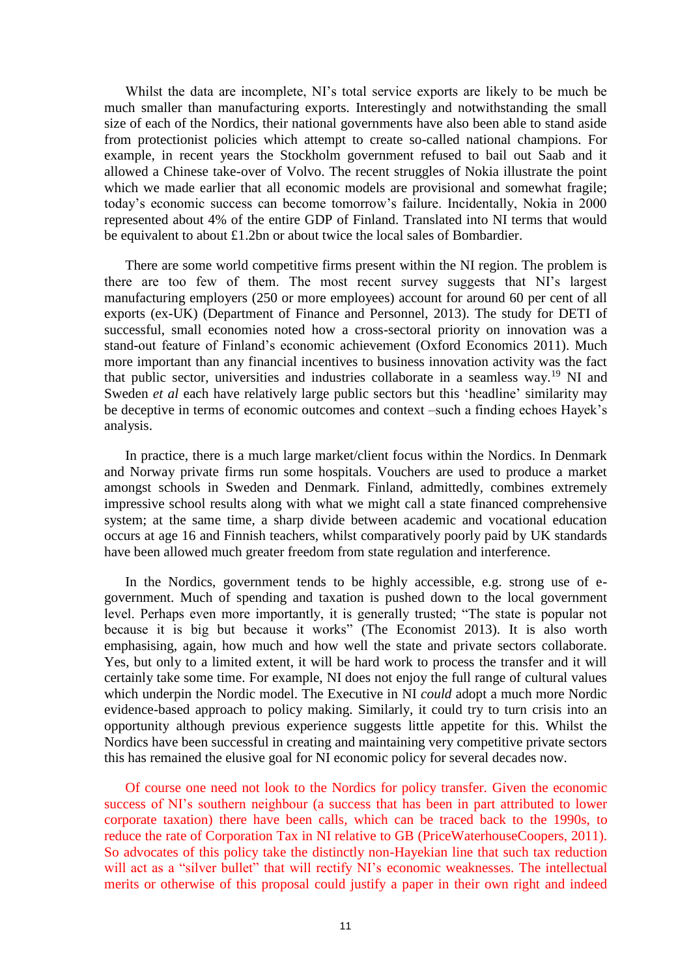Whilst the data are incomplete, NI's total service exports are likely to be much be much smaller than manufacturing exports. Interestingly and notwithstanding the small size of each of the Nordics, their national governments have also been able to stand aside from protectionist policies which attempt to create so-called national champions. For example, in recent years the Stockholm government refused to bail out Saab and it allowed a Chinese take-over of Volvo. The recent struggles of Nokia illustrate the point which we made earlier that all economic models are provisional and somewhat fragile; today's economic success can become tomorrow's failure. Incidentally, Nokia in 2000 represented about 4% of the entire GDP of Finland. Translated into NI terms that would be equivalent to about £1.2bn or about twice the local sales of Bombardier.

There are some world competitive firms present within the NI region. The problem is there are too few of them. The most recent survey suggests that NI's largest manufacturing employers (250 or more employees) account for around 60 per cent of all exports (ex-UK) (Department of Finance and Personnel, 2013). The study for DETI of successful, small economies noted how a cross-sectoral priority on innovation was a stand-out feature of Finland's economic achievement (Oxford Economics 2011). Much more important than any financial incentives to business innovation activity was the fact that public sector, universities and industries collaborate in a seamless way.<sup>19</sup> NI and Sweden *et al* each have relatively large public sectors but this 'headline' similarity may be deceptive in terms of economic outcomes and context –such a finding echoes Hayek's analysis.

In practice, there is a much large market/client focus within the Nordics. In Denmark and Norway private firms run some hospitals. Vouchers are used to produce a market amongst schools in Sweden and Denmark. Finland, admittedly, combines extremely impressive school results along with what we might call a state financed comprehensive system; at the same time, a sharp divide between academic and vocational education occurs at age 16 and Finnish teachers, whilst comparatively poorly paid by UK standards have been allowed much greater freedom from state regulation and interference.

In the Nordics, government tends to be highly accessible, e.g. strong use of egovernment. Much of spending and taxation is pushed down to the local government level. Perhaps even more importantly, it is generally trusted; "The state is popular not because it is big but because it works" (The Economist 2013). It is also worth emphasising, again, how much and how well the state and private sectors collaborate. Yes, but only to a limited extent, it will be hard work to process the transfer and it will certainly take some time. For example, NI does not enjoy the full range of cultural values which underpin the Nordic model. The Executive in NI *could* adopt a much more Nordic evidence-based approach to policy making. Similarly, it could try to turn crisis into an opportunity although previous experience suggests little appetite for this. Whilst the Nordics have been successful in creating and maintaining very competitive private sectors this has remained the elusive goal for NI economic policy for several decades now.

Of course one need not look to the Nordics for policy transfer. Given the economic success of NI's southern neighbour (a success that has been in part attributed to lower corporate taxation) there have been calls, which can be traced back to the 1990s, to reduce the rate of Corporation Tax in NI relative to GB (PriceWaterhouseCoopers, 2011). So advocates of this policy take the distinctly non-Hayekian line that such tax reduction will act as a "silver bullet" that will rectify NI's economic weaknesses. The intellectual merits or otherwise of this proposal could justify a paper in their own right and indeed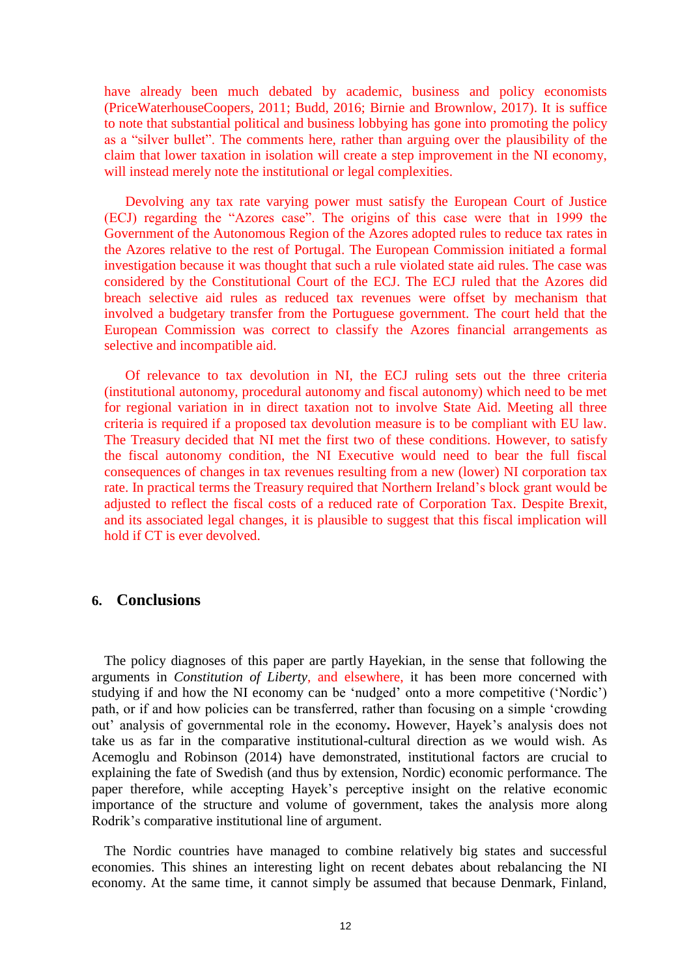have already been much debated by academic, business and policy economists (PriceWaterhouseCoopers, 2011; Budd, 2016; Birnie and Brownlow, 2017). It is suffice to note that substantial political and business lobbying has gone into promoting the policy as a "silver bullet". The comments here, rather than arguing over the plausibility of the claim that lower taxation in isolation will create a step improvement in the NI economy, will instead merely note the institutional or legal complexities.

Devolving any tax rate varying power must satisfy the European Court of Justice (ECJ) regarding the "Azores case". The origins of this case were that in 1999 the Government of the Autonomous Region of the Azores adopted rules to reduce tax rates in the Azores relative to the rest of Portugal. The European Commission initiated a formal investigation because it was thought that such a rule violated state aid rules. The case was considered by the Constitutional Court of the ECJ. The ECJ ruled that the Azores did breach selective aid rules as reduced tax revenues were offset by mechanism that involved a budgetary transfer from the Portuguese government. The court held that the European Commission was correct to classify the Azores financial arrangements as selective and incompatible aid.

Of relevance to tax devolution in NI, the ECJ ruling sets out the three criteria (institutional autonomy, procedural autonomy and fiscal autonomy) which need to be met for regional variation in in direct taxation not to involve State Aid. Meeting all three criteria is required if a proposed tax devolution measure is to be compliant with EU law. The Treasury decided that NI met the first two of these conditions. However, to satisfy the fiscal autonomy condition, the NI Executive would need to bear the full fiscal consequences of changes in tax revenues resulting from a new (lower) NI corporation tax rate. In practical terms the Treasury required that Northern Ireland's block grant would be adjusted to reflect the fiscal costs of a reduced rate of Corporation Tax. Despite Brexit, and its associated legal changes, it is plausible to suggest that this fiscal implication will hold if CT is ever devolved.

### **6. Conclusions**

The policy diagnoses of this paper are partly Hayekian, in the sense that following the arguments in *Constitution of Liberty*, and elsewhere, it has been more concerned with studying if and how the NI economy can be 'nudged' onto a more competitive ('Nordic') path, or if and how policies can be transferred, rather than focusing on a simple 'crowding out' analysis of governmental role in the economy**.** However, Hayek's analysis does not take us as far in the comparative institutional-cultural direction as we would wish. As Acemoglu and Robinson (2014) have demonstrated, institutional factors are crucial to explaining the fate of Swedish (and thus by extension, Nordic) economic performance. The paper therefore, while accepting Hayek's perceptive insight on the relative economic importance of the structure and volume of government, takes the analysis more along Rodrik's comparative institutional line of argument.

The Nordic countries have managed to combine relatively big states and successful economies. This shines an interesting light on recent debates about rebalancing the NI economy. At the same time, it cannot simply be assumed that because Denmark, Finland,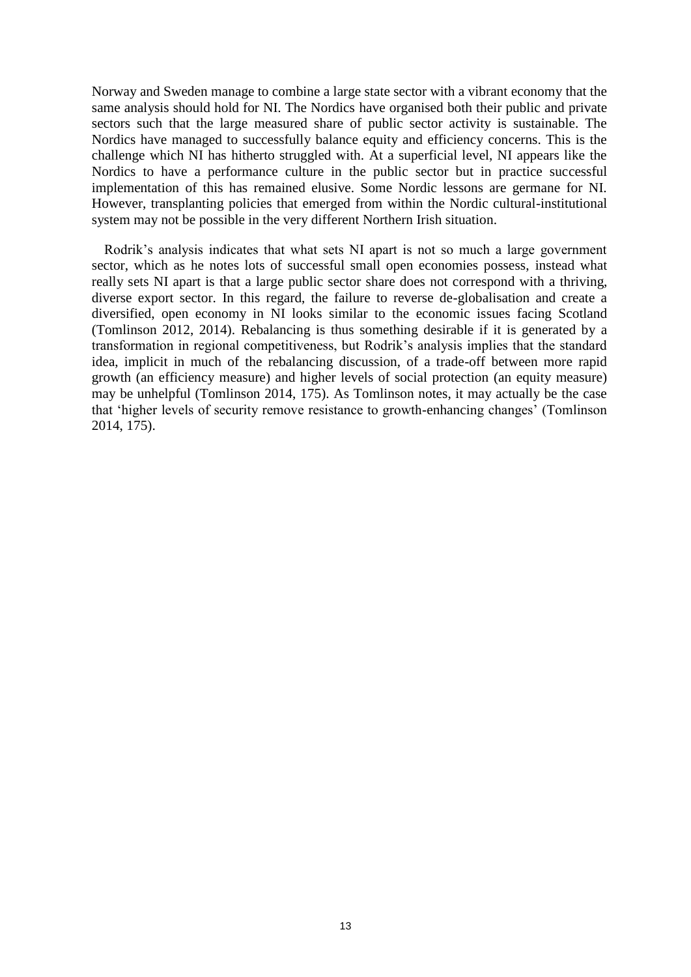Norway and Sweden manage to combine a large state sector with a vibrant economy that the same analysis should hold for NI. The Nordics have organised both their public and private sectors such that the large measured share of public sector activity is sustainable. The Nordics have managed to successfully balance equity and efficiency concerns. This is the challenge which NI has hitherto struggled with. At a superficial level, NI appears like the Nordics to have a performance culture in the public sector but in practice successful implementation of this has remained elusive. Some Nordic lessons are germane for NI. However, transplanting policies that emerged from within the Nordic cultural-institutional system may not be possible in the very different Northern Irish situation.

Rodrik's analysis indicates that what sets NI apart is not so much a large government sector, which as he notes lots of successful small open economies possess, instead what really sets NI apart is that a large public sector share does not correspond with a thriving, diverse export sector. In this regard, the failure to reverse de-globalisation and create a diversified, open economy in NI looks similar to the economic issues facing Scotland (Tomlinson 2012, 2014). Rebalancing is thus something desirable if it is generated by a transformation in regional competitiveness, but Rodrik's analysis implies that the standard idea, implicit in much of the rebalancing discussion, of a trade-off between more rapid growth (an efficiency measure) and higher levels of social protection (an equity measure) may be unhelpful (Tomlinson 2014, 175). As Tomlinson notes, it may actually be the case that 'higher levels of security remove resistance to growth-enhancing changes' (Tomlinson 2014, 175).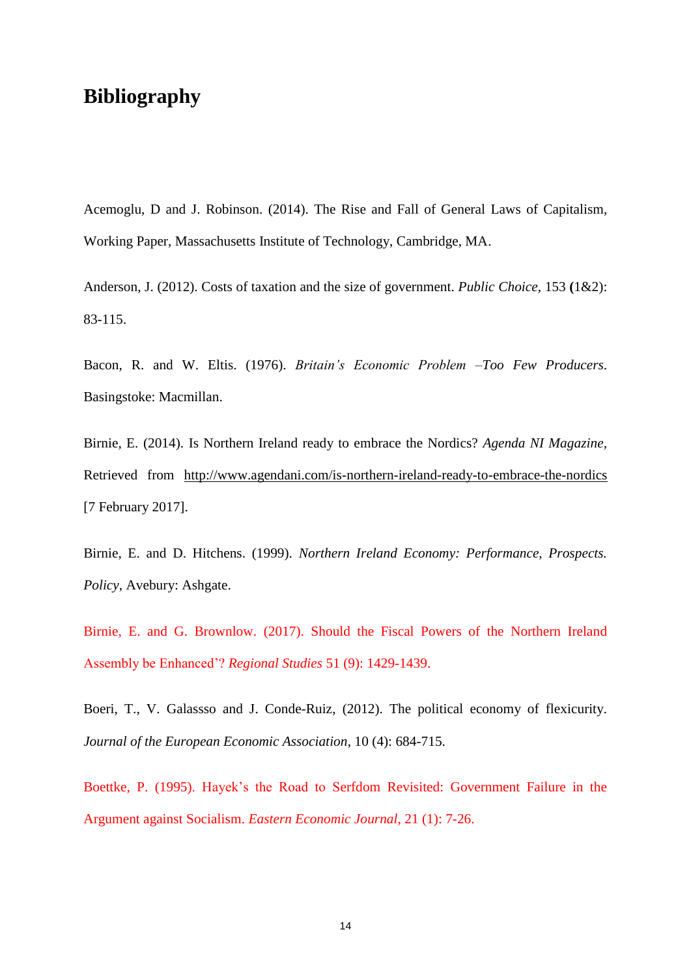# **Bibliography**

Acemoglu, D and J. Robinson. (2014). The Rise and Fall of General Laws of Capitalism, Working Paper, Massachusetts Institute of Technology, Cambridge, MA.

Anderson, J. (2012). Costs of taxation and the size of government. *Public Choice*, 153 **(**1&2): 83-115.

Bacon, R. and W. Eltis. (1976). *Britain's Economic Problem –Too Few Producers*. Basingstoke: Macmillan.

Birnie, E. (2014). Is Northern Ireland ready to embrace the Nordics? *Agenda NI Magazine*, Retrieved from <http://www.agendani.com/is-northern-ireland-ready-to-embrace-the-nordics> [7 February 2017].

Birnie, E. and D. Hitchens. (1999). *Northern Ireland Economy: Performance, Prospects. Policy*, Avebury: Ashgate.

Birnie, E. and G. Brownlow. (2017). Should the Fiscal Powers of the Northern Ireland Assembly be Enhanced'? *Regional Studies* 51 (9): 1429-1439.

Boeri, T., V. Galassso and J. Conde-Ruiz, (2012). The political economy of flexicurity. *Journal of the European Economic Association*, 10 (4): 684-715.

Boettke, P. (1995). Hayek's the Road to Serfdom Revisited: Government Failure in the Argument against Socialism. *Eastern Economic Journal*, 21 (1): 7-26.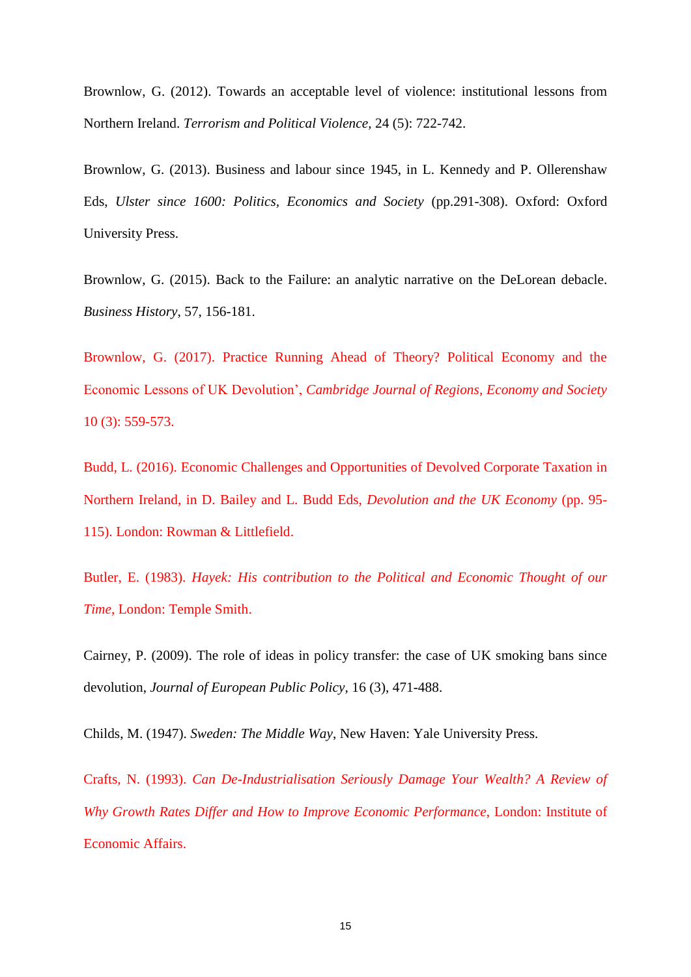Brownlow, G. (2012). Towards an acceptable level of violence: institutional lessons from Northern Ireland. *Terrorism and Political Violence,* 24 (5): 722-742.

Brownlow, G. (2013). Business and labour since 1945, in L. Kennedy and P. Ollerenshaw Eds, *Ulster since 1600: Politics, Economics and Society* (pp.291-308). Oxford: Oxford University Press.

Brownlow, G. (2015). Back to the Failure: an analytic narrative on the DeLorean debacle. *Business History*, 57, 156-181.

Brownlow, G. (2017). Practice Running Ahead of Theory? Political Economy and the Economic Lessons of UK Devolution', *Cambridge Journal of Regions, Economy and Society*  10 (3): 559-573.

Budd, L. (2016). Economic Challenges and Opportunities of Devolved Corporate Taxation in Northern Ireland, in D. Bailey and L. Budd Eds, *Devolution and the UK Economy* (pp. 95- 115). London: Rowman & Littlefield.

Butler, E. (1983). *Hayek: His contribution to the Political and Economic Thought of our Time*, London: Temple Smith.

Cairney, P. (2009). The role of ideas in policy transfer: the case of UK smoking bans since devolution, *Journal of European Public Policy,* 16 (3), 471-488.

Childs, M. (1947). *Sweden: The Middle Way*, New Haven: Yale University Press.

Crafts, N. (1993). *Can De-Industrialisation Seriously Damage Your Wealth? A Review of Why Growth Rates Differ and How to Improve Economic Performance*, London: Institute of Economic Affairs.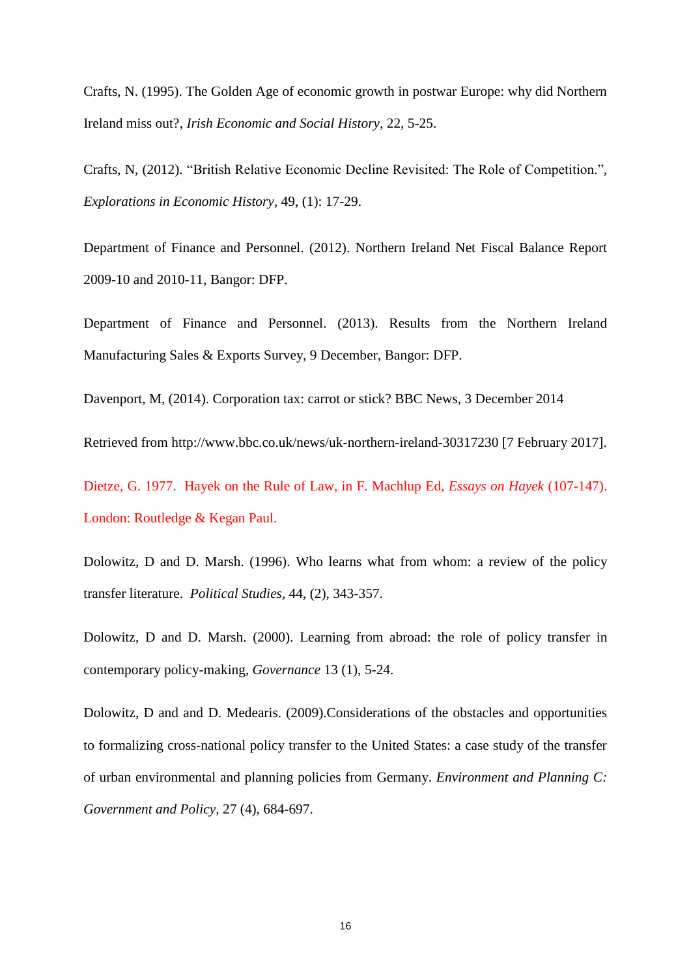Crafts, N. (1995). The Golden Age of economic growth in postwar Europe: why did Northern Ireland miss out?, *Irish Economic and Social History*, 22, 5-25.

Crafts, N, (2012). "British Relative Economic Decline Revisited: The Role of Competition.", *Explorations in Economic History,* 49, (1): 17-29.

Department of Finance and Personnel. (2012). Northern Ireland Net Fiscal Balance Report 2009-10 and 2010-11, Bangor: DFP.

Department of Finance and Personnel. (2013). Results from the Northern Ireland Manufacturing Sales & Exports Survey, 9 December, Bangor: DFP.

Davenport, M, (2014). Corporation tax: carrot or stick? BBC News, 3 December 2014

Retrieved from http://www.bbc.co.uk/news/uk-northern-ireland-30317230 [7 February 2017].

Dietze, G. 1977. Hayek on the Rule of Law, in F. Machlup Ed, *Essays on Hayek* (107-147). London: Routledge & Kegan Paul.

Dolowitz, D and D. Marsh. (1996). Who learns what from whom: a review of the policy transfer literature. *Political Studies,* 44, (2), 343-357.

Dolowitz, D and D. Marsh. (2000). Learning from abroad: the role of policy transfer in contemporary policy-making, *Governance* 13 (1), 5-24.

Dolowitz, D and and D. Medearis. (2009).Considerations of the obstacles and opportunities to formalizing cross-national policy transfer to the United States: a case study of the transfer of urban environmental and planning policies from Germany. *Environment and Planning C: Government and Policy,* 27 (4), 684-697.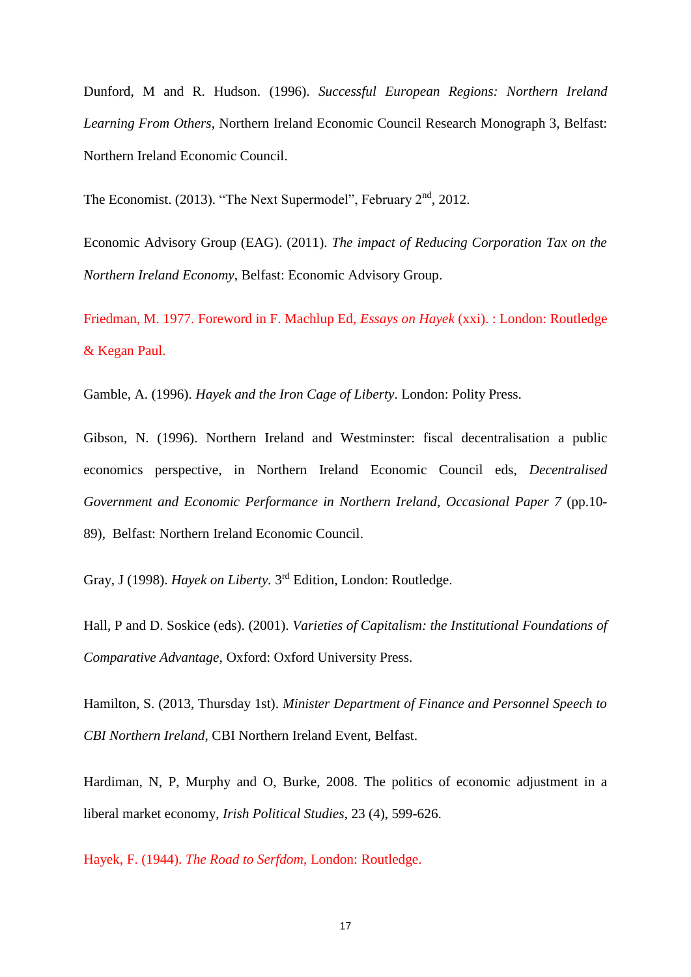Dunford, M and R. Hudson. (1996). *Successful European Regions: Northern Ireland Learning From Others*, Northern Ireland Economic Council Research Monograph 3, Belfast: Northern Ireland Economic Council.

The Economist.  $(2013)$ . "The Next Supermodel", February  $2<sup>nd</sup>$ , 2012.

Economic Advisory Group (EAG). (2011). *The impact of Reducing Corporation Tax on the Northern Ireland Economy*, Belfast: Economic Advisory Group.

Friedman, M. 1977. Foreword in F. Machlup Ed, *Essays on Hayek* (xxi). : London: Routledge & Kegan Paul.

Gamble, A. (1996). *Hayek and the Iron Cage of Liberty*. London: Polity Press.

Gibson, N. (1996). Northern Ireland and Westminster: fiscal decentralisation a public economics perspective, in Northern Ireland Economic Council eds, *Decentralised Government and Economic Performance in Northern Ireland*, *Occasional Paper 7* (pp.10- 89)*,* Belfast: Northern Ireland Economic Council.

Gray, J (1998). *Hayek on Liberty*. 3<sup>rd</sup> Edition, London: Routledge.

Hall, P and D. Soskice (eds). (2001). *Varieties of Capitalism: the Institutional Foundations of Comparative Advantage,* Oxford: Oxford University Press.

Hamilton, S. (2013, Thursday 1st). *Minister Department of Finance and Personnel Speech to CBI Northern Ireland*, CBI Northern Ireland Event, Belfast.

Hardiman, N, P, Murphy and O, Burke, 2008. The politics of economic adjustment in a liberal market economy, *Irish Political Studies*, 23 (4), 599-626.

Hayek, F. (1944). *The Road to Serfdom*, London: Routledge.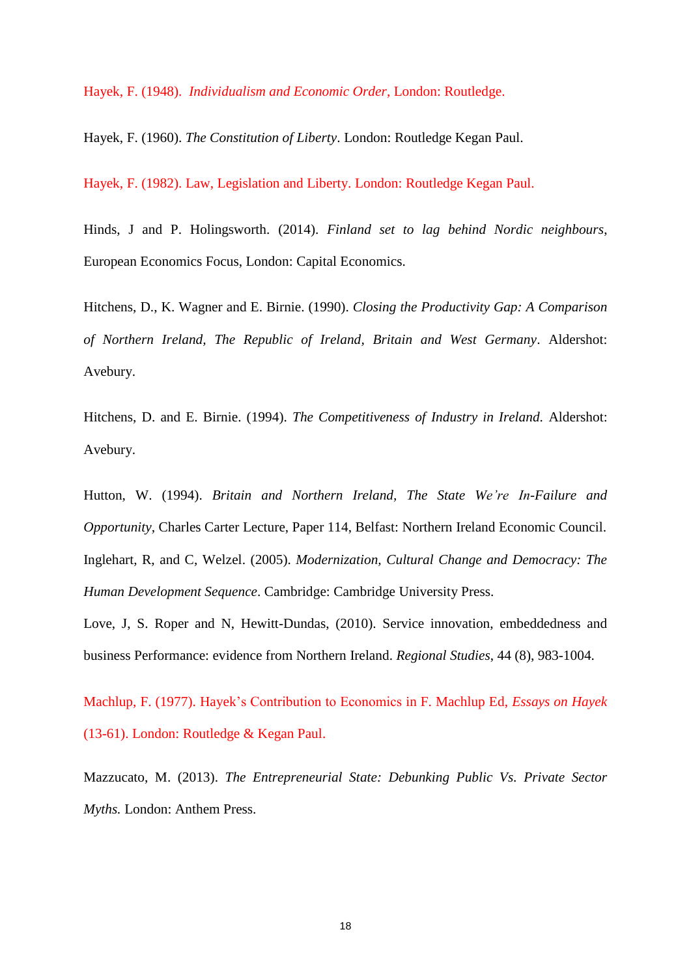Hayek, F. (1948). *Individualism and Economic Order*, London: Routledge.

Hayek, F. (1960). *The Constitution of Liberty*. London: Routledge Kegan Paul.

Hayek, F. (1982). Law, Legislation and Liberty. London: Routledge Kegan Paul.

Hinds, J and P. Holingsworth. (2014). *Finland set to lag behind Nordic neighbours*, European Economics Focus, London: Capital Economics.

Hitchens, D., K. Wagner and E. Birnie. (1990). *Closing the Productivity Gap: A Comparison of Northern Ireland, The Republic of Ireland, Britain and West Germany*. Aldershot: Avebury.

Hitchens, D. and E. Birnie. (1994). *The Competitiveness of Industry in Ireland.* Aldershot: Avebury.

Hutton, W. (1994). *Britain and Northern Ireland, The State We're In-Failure and Opportunity*, Charles Carter Lecture, Paper 114, Belfast: Northern Ireland Economic Council. Inglehart, R, and C, Welzel. (2005). *Modernization, Cultural Change and Democracy: The Human Development Sequence*. Cambridge: Cambridge University Press.

Love, J, S. Roper and N, Hewitt-Dundas, (2010). Service innovation, embeddedness and business Performance: evidence from Northern Ireland. *Regional Studies*, 44 (8), 983-1004.

Machlup, F. (1977). Hayek's Contribution to Economics in F. Machlup Ed, *Essays on Hayek* (13-61). London: Routledge & Kegan Paul.

Mazzucato, M. (2013). *The Entrepreneurial State: Debunking Public Vs. Private Sector Myths.* London: Anthem Press.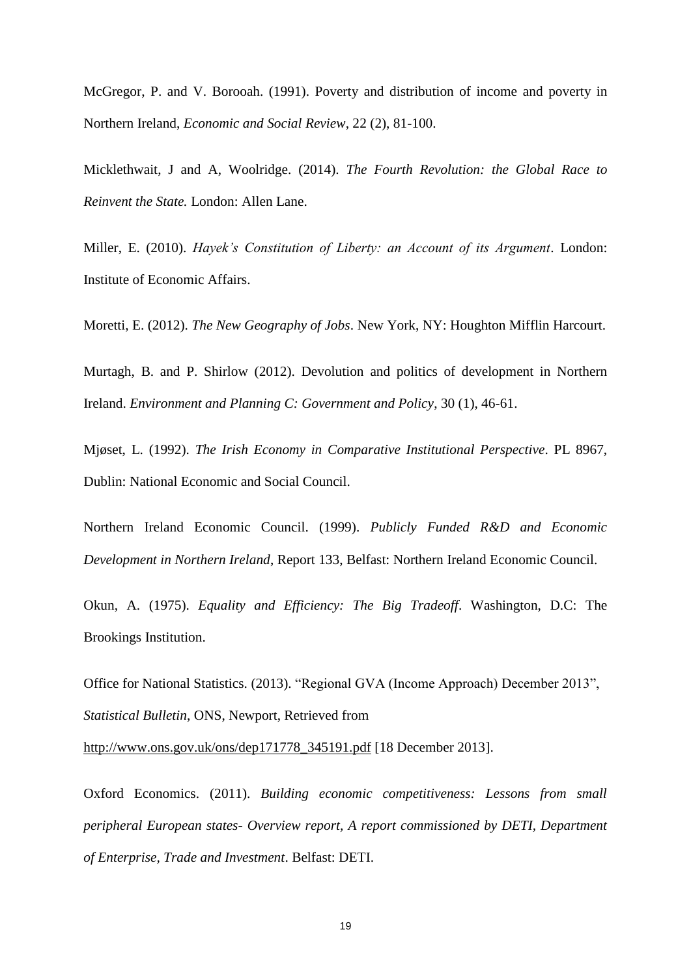McGregor, P. and V. Borooah. (1991). Poverty and distribution of income and poverty in Northern Ireland, *Economic and Social Review*, 22 (2), 81-100.

Micklethwait, J and A, Woolridge. (2014). *The Fourth Revolution: the Global Race to Reinvent the State.* London: Allen Lane.

Miller, E. (2010). *Hayek's Constitution of Liberty: an Account of its Argument*. London: Institute of Economic Affairs.

Moretti, E. (2012). *The New Geography of Jobs*. New York, NY: Houghton Mifflin Harcourt.

Murtagh, B. and P. Shirlow (2012). Devolution and politics of development in Northern Ireland. *Environment and Planning C: Government and Policy*, 30 (1), 46-61.

Mjøset, L. (1992). *The Irish Economy in Comparative Institutional Perspective*. PL 8967, Dublin: National Economic and Social Council.

Northern Ireland Economic Council. (1999). *Publicly Funded R&D and Economic Development in Northern Ireland*, Report 133, Belfast: Northern Ireland Economic Council.

Okun, A. (1975). *Equality and Efficiency: The Big Tradeoff*. Washington, D.C: The Brookings Institution.

Office for National Statistics. (2013). "Regional GVA (Income Approach) December 2013", *Statistical Bulletin*, ONS, Newport, Retrieved from

[http://www.ons.gov.uk/ons/dep171778\\_345191.pdf](http://www.ons.gov.uk/ons/dep171778_345191.pdf) [18 December 2013].

Oxford Economics. (2011). *Building economic competitiveness: Lessons from small peripheral European states- Overview report, A report commissioned by DETI, Department of Enterprise, Trade and Investment*. Belfast: DETI.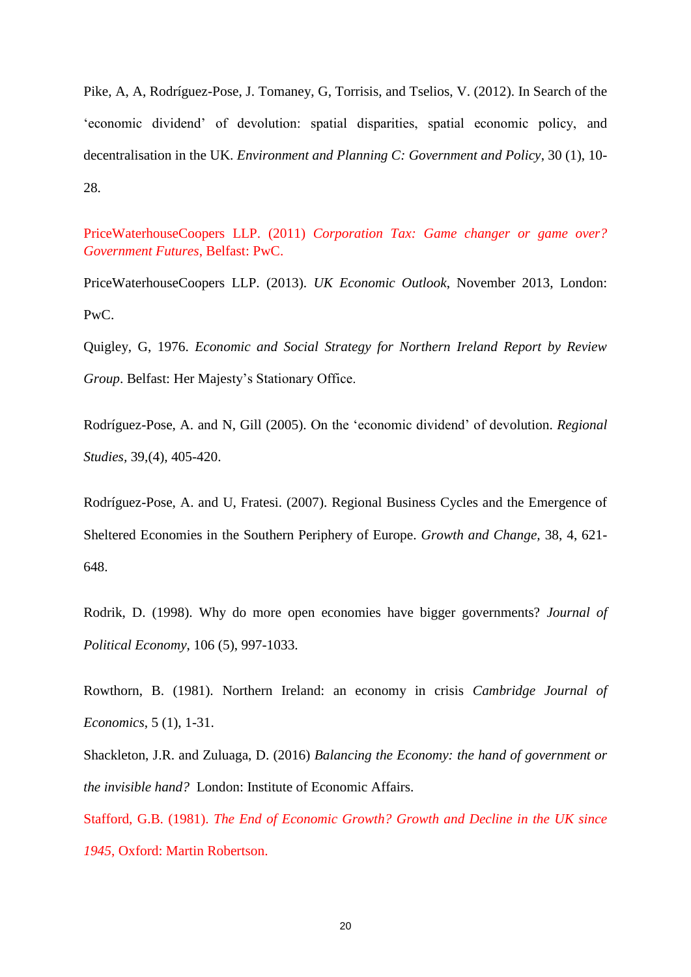Pike, A, A, Rodríguez-Pose, J. Tomaney, G, Torrisis, and Tselios, V. (2012). In Search of the 'economic dividend' of devolution: spatial disparities, spatial economic policy, and decentralisation in the UK. *Environment and Planning C: Government and Policy*, 30 (1), 10- 28.

PriceWaterhouseCoopers LLP. (2011) *Corporation Tax: Game changer or game over? Government Futures*, Belfast: PwC.

PriceWaterhouseCoopers LLP. (2013). *UK Economic Outlook*, November 2013, London: PwC.

Quigley, G, 1976. *Economic and Social Strategy for Northern Ireland Report by Review Group*. Belfast: Her Majesty's Stationary Office.

Rodríguez-Pose, A. and N, Gill (2005). On the 'economic dividend' of devolution. *Regional Studies,* 39,(4), 405-420.

Rodríguez-Pose, A. and U, Fratesi. (2007). Regional Business Cycles and the Emergence of Sheltered Economies in the Southern Periphery of Europe. *Growth and Change,* 38, 4, 621- 648.

Rodrik, D. (1998). Why do more open economies have bigger governments? *Journal of Political Economy*, 106 (5), 997-1033.

Rowthorn, B. (1981). Northern Ireland: an economy in crisis *Cambridge Journal of Economics*, 5 (1), 1-31.

Shackleton, J.R. and Zuluaga, D. (2016) *Balancing the Economy: the hand of government or the invisible hand?* London: Institute of Economic Affairs.

Stafford, G.B. (1981). *The End of Economic Growth? Growth and Decline in the UK since 1945*, Oxford: Martin Robertson.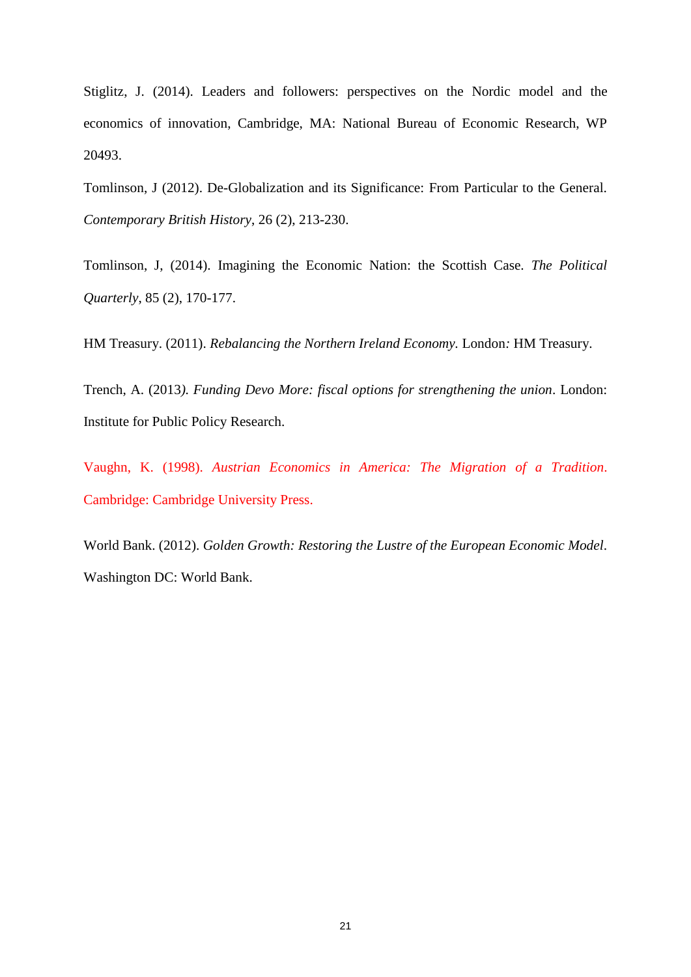Stiglitz, J. (2014). Leaders and followers: perspectives on the Nordic model and the economics of innovation, Cambridge, MA: National Bureau of Economic Research, WP 20493.

Tomlinson, J (2012). De-Globalization and its Significance: From Particular to the General. *Contemporary British History*, 26 (2), 213-230.

Tomlinson, J, (2014). Imagining the Economic Nation: the Scottish Case. *The Political Quarterly*, 85 (2), 170-177.

HM Treasury. (2011). *Rebalancing the Northern Ireland Economy.* London*:* HM Treasury.

Trench, A. (2013*). Funding Devo More: fiscal options for strengthening the union*. London: Institute for Public Policy Research.

Vaughn, K. (1998). *Austrian Economics in America: The Migration of a Tradition*. Cambridge: Cambridge University Press.

World Bank. (2012). *Golden Growth: Restoring the Lustre of the European Economic Model*. Washington DC: World Bank.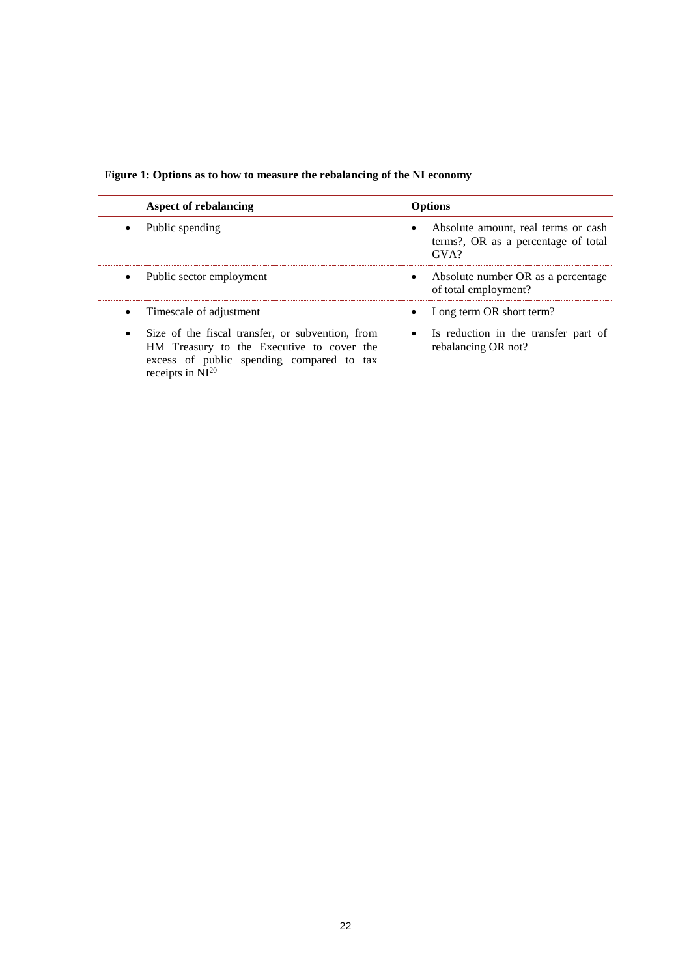|  |  | Figure 1: Options as to how to measure the rebalancing of the NI economy |  |  |  |
|--|--|--------------------------------------------------------------------------|--|--|--|
|  |  |                                                                          |  |  |  |

| <b>Aspect of rebalancing</b>                                                                                                                                        | <b>Options</b>                                                                           |
|---------------------------------------------------------------------------------------------------------------------------------------------------------------------|------------------------------------------------------------------------------------------|
| Public spending                                                                                                                                                     | Absolute amount, real terms or cash<br>terms?, OR as a percentage of total<br>$\rm GVA?$ |
| Public sector employment<br>$\bullet$                                                                                                                               | Absolute number OR as a percentage<br>$\bullet$<br>of total employment?                  |
| Timescale of adjustment<br>$\bullet$                                                                                                                                | Long term OR short term?<br>$\bullet$                                                    |
| Size of the fiscal transfer, or subvention, from<br>HM Treasury to the Executive to cover the<br>excess of public spending compared to tax<br>receipts in $NI^{20}$ | • Is reduction in the transfer part of<br>rebalancing OR not?                            |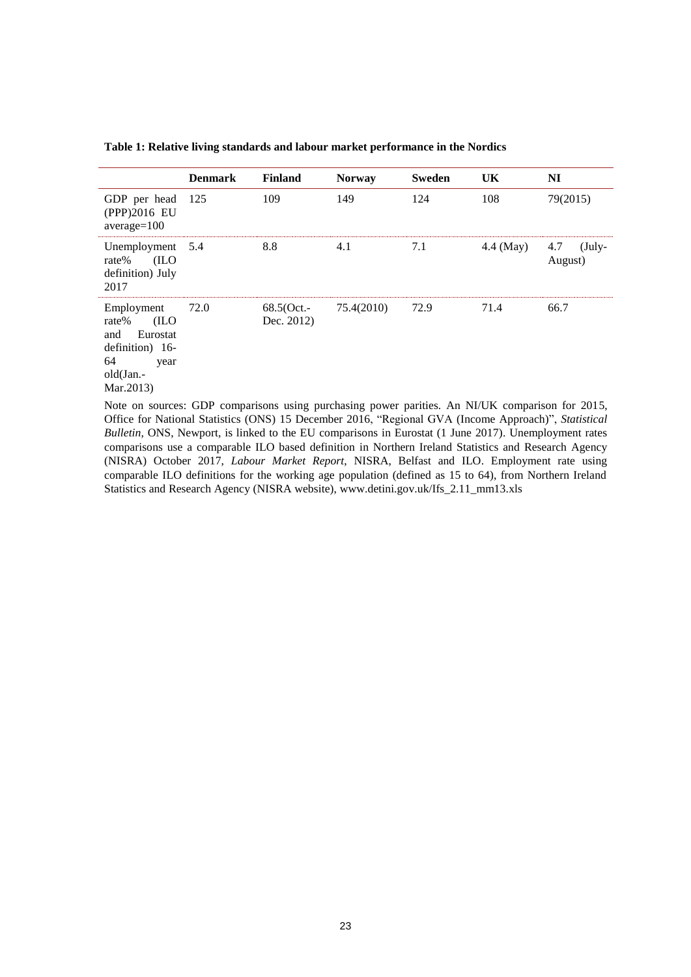|                                                                                                           | <b>Denmark</b> | <b>Finland</b>           | <b>Norway</b> | <b>Sweden</b> | UK.       | NI                         |
|-----------------------------------------------------------------------------------------------------------|----------------|--------------------------|---------------|---------------|-----------|----------------------------|
| GDP per head<br>(PPP)2016 EU<br>$average=100$                                                             | - 125          | 109                      | 149           | 124           | 108       | 79(2015)                   |
| Unemployment 5.4<br>(ILO<br>rate%<br>definition) July<br>2017                                             |                | 8.8                      | 4.1           | 7.1           | 4.4 (May) | 4.7<br>$(July-$<br>August) |
| Employment<br>(ILO<br>rate%<br>Eurostat<br>and<br>definition) 16-<br>64<br>year<br>old(Jan.-<br>Mar.2013) | 72.0           | 68.5(Oct.-<br>Dec. 2012) | 75.4(2010)    | 72.9          | 71.4      | 66.7                       |
| $ -$                                                                                                      |                |                          |               |               |           |                            |

**Table 1: Relative living standards and labour market performance in the Nordics**

Note on sources: GDP comparisons using purchasing power parities. An NI/UK comparison for 2015, Office for National Statistics (ONS) 15 December 2016, "Regional GVA (Income Approach)", *Statistical Bulletin, ONS, Newport, is linked to the EU comparisons in Eurostat (1 June 2017). Unemployment rates* comparisons use a comparable ILO based definition in Northern Ireland Statistics and Research Agency (NISRA) October 2017, *Labour Market Report*, NISRA, Belfast and ILO. Employment rate using comparable ILO definitions for the working age population (defined as 15 to 64), from Northern Ireland Statistics and Research Agency (NISRA website), www.detini.gov.uk/Ifs\_2.11\_mm13.xls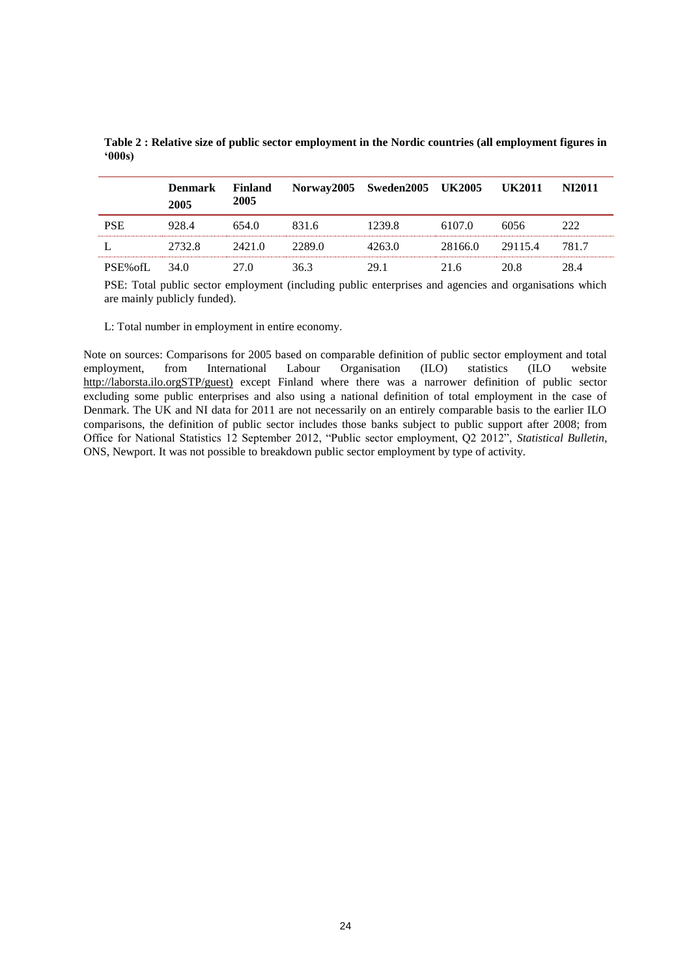|                | <b>Denmark</b><br>2005 | Finland<br>2005 |        | Norway2005 Sweden2005 UK2005 UK2011 |         |         | <b>NI2011</b> |
|----------------|------------------------|-----------------|--------|-------------------------------------|---------|---------|---------------|
| <b>PSE</b>     | 928.4                  | 654.0           | 831.6  | 1239.8                              | 6107.0  | 6056    | 222           |
|                | 2732.8                 | 2421.0          | 2289.0 | 4263.0                              | 28166.0 | 29115.4 | 781.7         |
| PSE% of L 34.0 |                        | 27 O            | 363    | 29.1                                | 21.6    | 20.8    | 28 A          |

**Table 2 : Relative size of public sector employment in the Nordic countries (all employment figures in '000s)**

PSE: Total public sector employment (including public enterprises and agencies and organisations which are mainly publicly funded).

L: Total number in employment in entire economy.

Note on sources: Comparisons for 2005 based on comparable definition of public sector employment and total employment, from International Labour Organisation (ILO) statistics (ILO website [http://laborsta.ilo.orgSTP/guest\)](http://laborsta.ilo.orgstp/guest) except Finland where there was a narrower definition of public sector excluding some public enterprises and also using a national definition of total employment in the case of Denmark. The UK and NI data for 2011 are not necessarily on an entirely comparable basis to the earlier ILO comparisons, the definition of public sector includes those banks subject to public support after 2008; from Office for National Statistics 12 September 2012, "Public sector employment, Q2 2012", *Statistical Bulletin*, ONS, Newport. It was not possible to breakdown public sector employment by type of activity.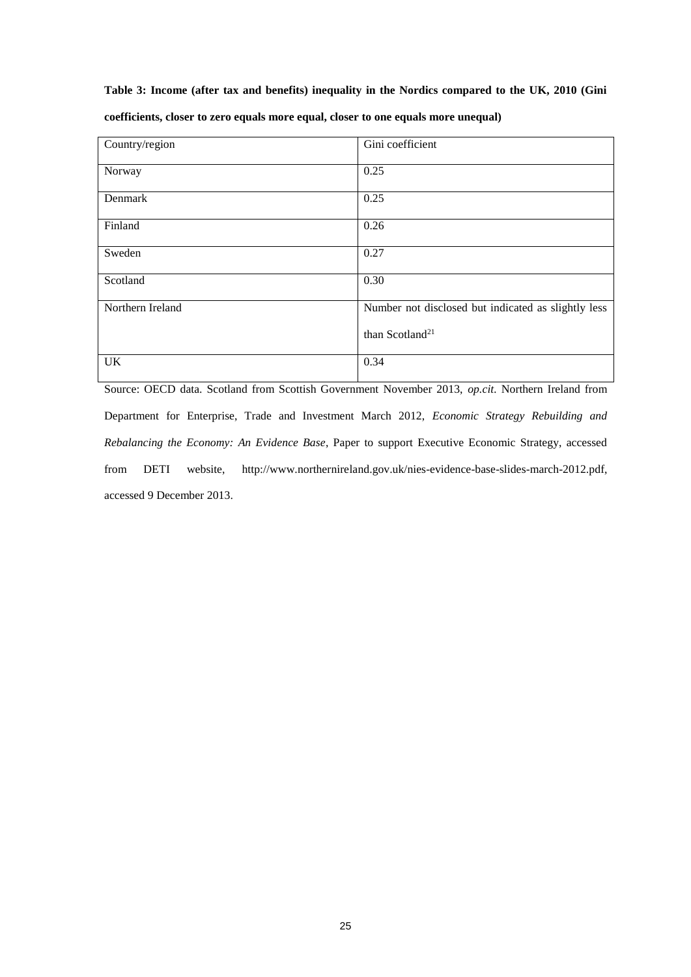#### **Table 3: Income (after tax and benefits) inequality in the Nordics compared to the UK, 2010 (Gini**

| Country/region   | Gini coefficient                                    |
|------------------|-----------------------------------------------------|
| Norway           | 0.25                                                |
| Denmark          | 0.25                                                |
| Finland          | 0.26                                                |
| Sweden           | 0.27                                                |
| Scotland         | 0.30                                                |
| Northern Ireland | Number not disclosed but indicated as slightly less |
|                  | than Scotland <sup>21</sup>                         |
| <b>UK</b>        | 0.34                                                |

**coefficients, closer to zero equals more equal, closer to one equals more unequal)**

Source: OECD data. Scotland from Scottish Government November 2013, *op.cit.* Northern Ireland from Department for Enterprise, Trade and Investment March 2012, *Economic Strategy Rebuilding and Rebalancing the Economy: An Evidence Base*, Paper to support Executive Economic Strategy, accessed from DETI website, http://www.northernireland.gov.uk/nies-evidence-base-slides-march-2012.pdf, accessed 9 December 2013.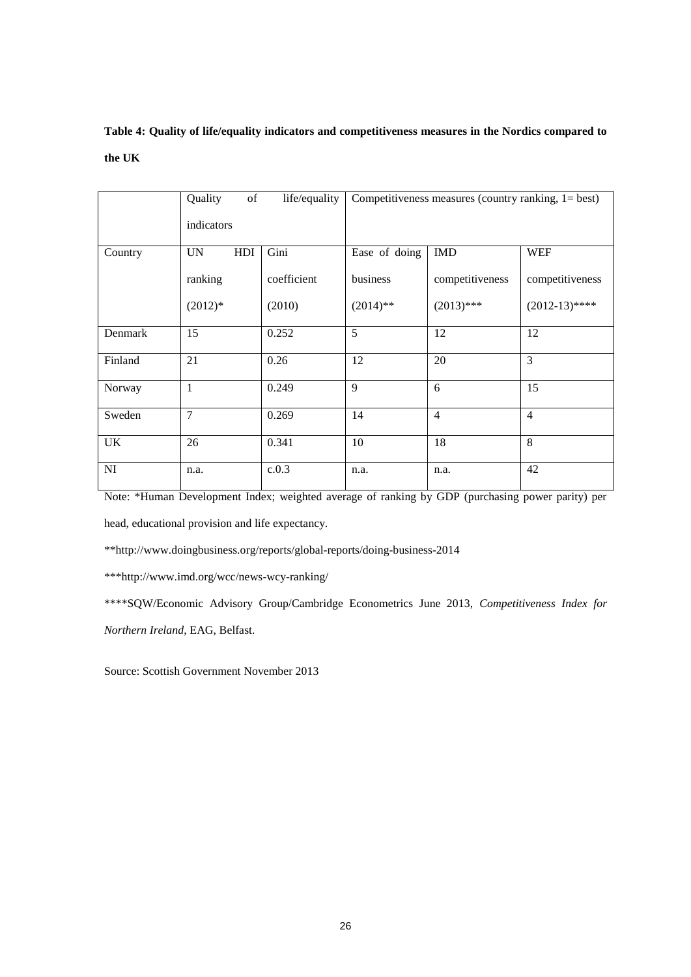# **Table 4: Quality of life/equality indicators and competitiveness measures in the Nordics compared to the UK**

|         | of<br>Quality    | life/equality | Competitiveness measures (country ranking, $1 = best$ ) |                 |                  |  |  |
|---------|------------------|---------------|---------------------------------------------------------|-----------------|------------------|--|--|
|         | indicators       |               |                                                         |                 |                  |  |  |
| Country | HDI<br><b>UN</b> | Gini          | Ease of doing                                           | <b>IMD</b>      | <b>WEF</b>       |  |  |
|         | ranking          | coefficient   | business                                                | competitiveness | competitiveness  |  |  |
|         | $(2012)*$        | (2010)        | $(2014)$ **                                             | $(2013)$ ***    | $(2012-13)$ **** |  |  |
| Denmark | 15               | 0.252         | 5                                                       | 12              | 12               |  |  |
| Finland | 21               | 0.26          | 12                                                      | 20              | $\overline{3}$   |  |  |
| Norway  | 1                | 0.249         | 9                                                       | 6               | 15               |  |  |
| Sweden  | 7                | 0.269         | 14                                                      | $\overline{4}$  | $\overline{4}$   |  |  |
| UK      | 26               | 0.341         | 10                                                      | 18              | 8                |  |  |
| NI      | n.a.             | c.0.3         | n.a.                                                    | n.a.            | 42               |  |  |

Note: \*Human Development Index; weighted average of ranking by GDP (purchasing power parity) per head, educational provision and life expectancy.

\*\*http://www.doingbusiness.org/reports/global-reports/doing-business-2014

\*\*\*http://www.imd.org/wcc/news-wcy-ranking/

\*\*\*\*SQW/Economic Advisory Group/Cambridge Econometrics June 2013, *Competitiveness Index for Northern Ireland*, EAG, Belfast.

Source: Scottish Government November 2013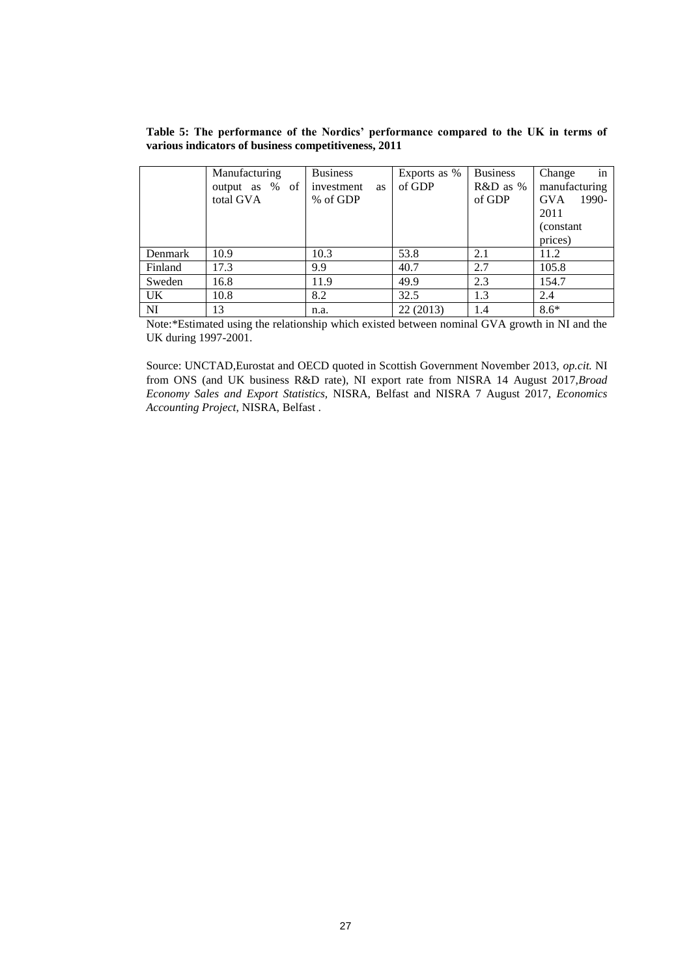**Table 5: The performance of the Nordics' performance compared to the UK in terms of various indicators of business competitiveness, 2011**

|         | Manufacturing  | <b>Business</b>         | Exports as % | <b>Business</b> | in<br>Change        |
|---------|----------------|-------------------------|--------------|-----------------|---------------------|
|         | output as % of | investment<br><b>as</b> | of GDP       | $R&D$ as %      | manufacturing       |
|         | total GVA      | % of GDP                |              | of GDP          | <b>GVA</b><br>1990- |
|         |                |                         |              |                 | 2011                |
|         |                |                         |              |                 | (constant)          |
|         |                |                         |              |                 | prices)             |
| Denmark | 10.9           | 10.3                    | 53.8         | 2.1             | 11.2                |
| Finland | 17.3           | 9.9                     | 40.7         | 2.7             | 105.8               |
| Sweden  | 16.8           | 11.9                    | 49.9         | 2.3             | 154.7               |
| UK.     | 10.8           | 8.2                     | 32.5         | 1.3             | 2.4                 |
| NI      | 13             | n.a.                    | 22(2013)     | 1.4             | $8.6*$              |

Note:\*Estimated using the relationship which existed between nominal GVA growth in NI and the UK during 1997-2001.

Source: UNCTAD,Eurostat and OECD quoted in Scottish Government November 2013, *op.cit.* NI from ONS (and UK business R&D rate), NI export rate from NISRA 14 August 2017,*Broad Economy Sales and Export Statistics,* NISRA, Belfast and NISRA 7 August 2017, *Economics Accounting Project*, NISRA, Belfast .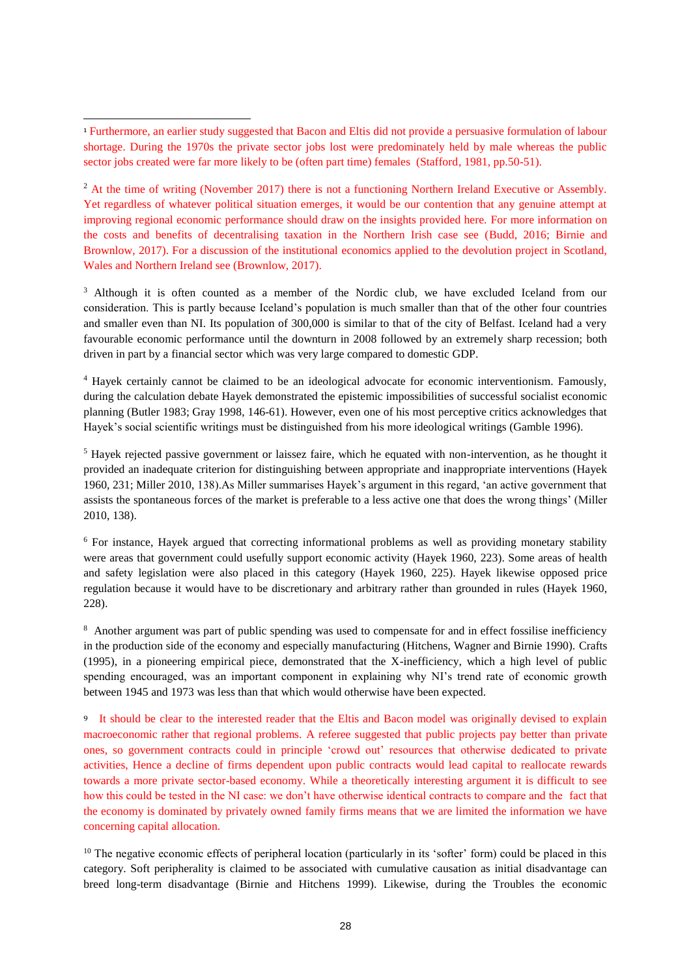-

<sup>2</sup> At the time of writing (November 2017) there is not a functioning Northern Ireland Executive or Assembly. Yet regardless of whatever political situation emerges, it would be our contention that any genuine attempt at improving regional economic performance should draw on the insights provided here. For more information on the costs and benefits of decentralising taxation in the Northern Irish case see (Budd, 2016; Birnie and Brownlow, 2017). For a discussion of the institutional economics applied to the devolution project in Scotland, Wales and Northern Ireland see (Brownlow, 2017).

<sup>3</sup> Although it is often counted as a member of the Nordic club, we have excluded Iceland from our consideration. This is partly because Iceland's population is much smaller than that of the other four countries and smaller even than NI. Its population of 300,000 is similar to that of the city of Belfast. Iceland had a very favourable economic performance until the downturn in 2008 followed by an extremely sharp recession; both driven in part by a financial sector which was very large compared to domestic GDP.

<sup>4</sup> Hayek certainly cannot be claimed to be an ideological advocate for economic interventionism. Famously, during the calculation debate Hayek demonstrated the epistemic impossibilities of successful socialist economic planning (Butler 1983; Gray 1998, 146-61). However, even one of his most perceptive critics acknowledges that Hayek's social scientific writings must be distinguished from his more ideological writings (Gamble 1996).

<sup>5</sup> Hayek rejected passive government or laissez faire, which he equated with non-intervention, as he thought it provided an inadequate criterion for distinguishing between appropriate and inappropriate interventions (Hayek 1960, 231; Miller 2010, 138).As Miller summarises Hayek's argument in this regard, 'an active government that assists the spontaneous forces of the market is preferable to a less active one that does the wrong things' (Miller 2010, 138).

<sup>6</sup> For instance, Hayek argued that correcting informational problems as well as providing monetary stability were areas that government could usefully support economic activity (Hayek 1960, 223). Some areas of health and safety legislation were also placed in this category (Hayek 1960, 225). Hayek likewise opposed price regulation because it would have to be discretionary and arbitrary rather than grounded in rules (Hayek 1960, 228).

<sup>8</sup> Another argument was part of public spending was used to compensate for and in effect fossilise inefficiency in the production side of the economy and especially manufacturing (Hitchens, Wagner and Birnie 1990). Crafts (1995), in a pioneering empirical piece, demonstrated that the X-inefficiency, which a high level of public spending encouraged, was an important component in explaining why NI's trend rate of economic growth between 1945 and 1973 was less than that which would otherwise have been expected.

<sup>9</sup> It should be clear to the interested reader that the Eltis and Bacon model was originally devised to explain macroeconomic rather that regional problems. A referee suggested that public projects pay better than private ones, so government contracts could in principle 'crowd out' resources that otherwise dedicated to private activities, Hence a decline of firms dependent upon public contracts would lead capital to reallocate rewards towards a more private sector-based economy. While a theoretically interesting argument it is difficult to see how this could be tested in the NI case: we don't have otherwise identical contracts to compare and the fact that the economy is dominated by privately owned family firms means that we are limited the information we have concerning capital allocation.

<sup>10</sup> The negative economic effects of peripheral location (particularly in its 'softer' form) could be placed in this category. Soft peripherality is claimed to be associated with cumulative causation as initial disadvantage can breed long-term disadvantage (Birnie and Hitchens 1999). Likewise, during the Troubles the economic

<sup>1</sup> Furthermore, an earlier study suggested that Bacon and Eltis did not provide a persuasive formulation of labour shortage. During the 1970s the private sector jobs lost were predominately held by male whereas the public sector jobs created were far more likely to be (often part time) females (Stafford, 1981, pp.50-51).